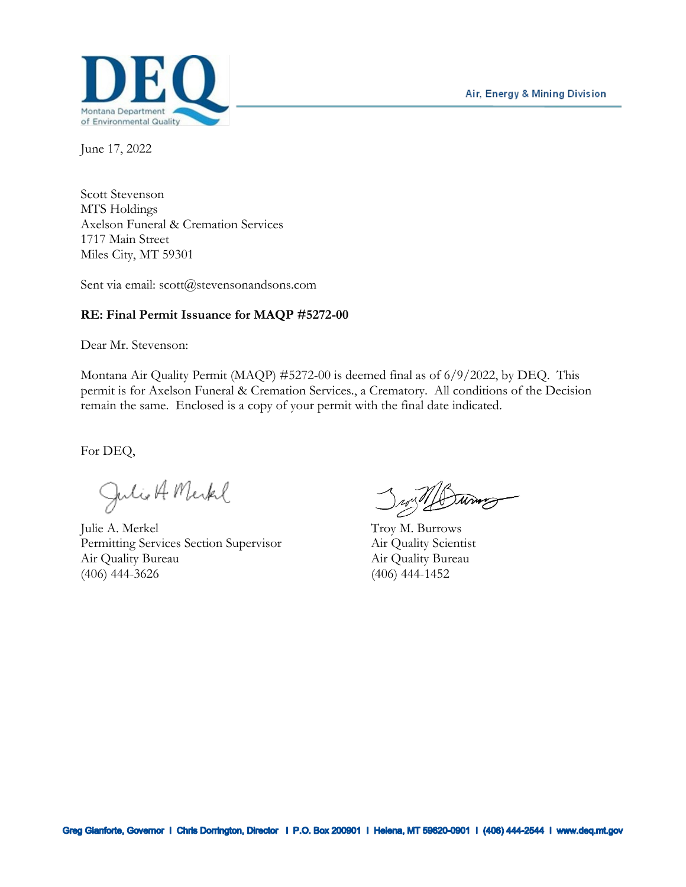

June 17, 2022

Scott Stevenson MTS Holdings Axelson Funeral & Cremation Services 1717 Main Street Miles City, MT 59301

Sent via email: scott@stevensonandsons.com

#### **RE: Final Permit Issuance for MAQP #5272-00**

Dear Mr. Stevenson:

Montana Air Quality Permit (MAQP) #5272-00 is deemed final as of 6/9/2022, by DEQ. This permit is for Axelson Funeral & Cremation Services., a Crematory. All conditions of the Decision remain the same. Enclosed is a copy of your permit with the final date indicated.

For DEQ,

Julio A Merkel

Julie A. Merkel Troy M. Burrows Permitting Services Section Supervisor Air Quality Scientist Air Quality Bureau Air Quality Bureau (406) 444-3626 (406) 444-1452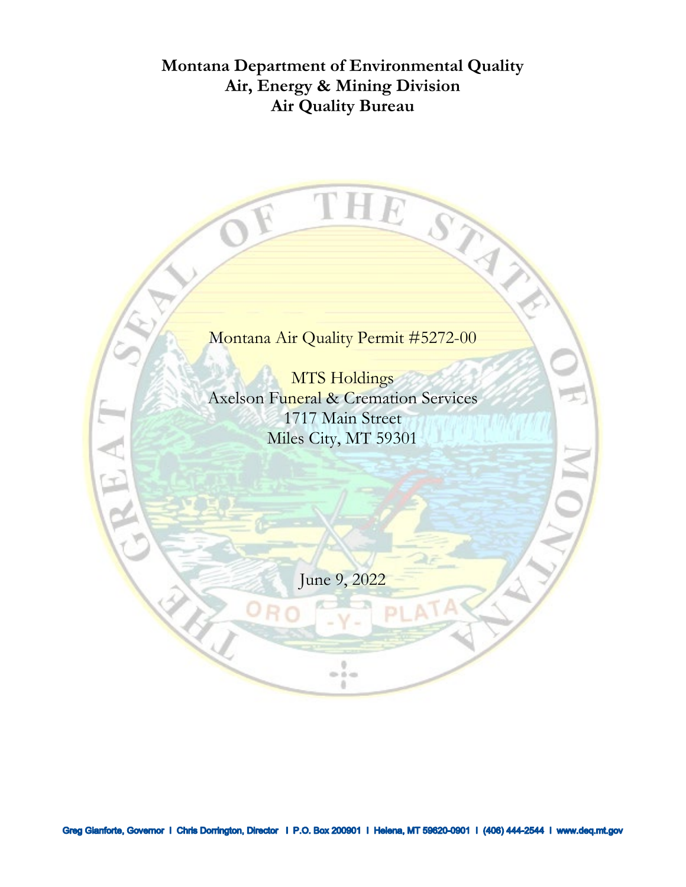# **Montana Department of Environmental Quality Air, Energy & Mining Division Air Quality Bureau**

Montana Air Quality Permit #5272-00

THE STAY

MTS Holdings Axelson Funeral & Cremation Services 1717 Main Street Miles City, MT 59301

June 9, 2022

 $0 - 0 = 0$ a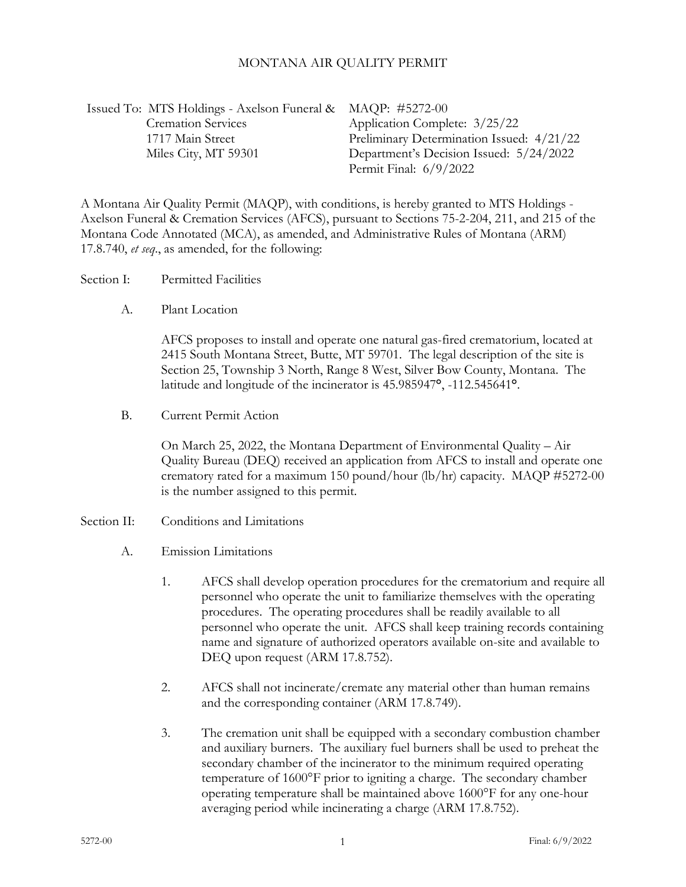#### MONTANA AIR QUALITY PERMIT

| Issued To: MTS Holdings - Axelson Funeral & MAQP: #5272-00 |                                           |
|------------------------------------------------------------|-------------------------------------------|
| <b>Cremation Services</b>                                  | Application Complete: 3/25/22             |
| 1717 Main Street                                           | Preliminary Determination Issued: 4/21/22 |
| Miles City, MT 59301                                       | Department's Decision Issued: 5/24/2022   |
|                                                            | Permit Final: $6/9/2022$                  |

A Montana Air Quality Permit (MAQP), with conditions, is hereby granted to MTS Holdings - Axelson Funeral & Cremation Services (AFCS), pursuant to Sections 75-2-204, 211, and 215 of the Montana Code Annotated (MCA), as amended, and Administrative Rules of Montana (ARM) 17.8.740, *et seq*., as amended, for the following:

Section I: Permitted Facilities

A. Plant Location

AFCS proposes to install and operate one natural gas-fired crematorium, located at 2415 South Montana Street, Butte, MT 59701. The legal description of the site is Section 25, Township 3 North, Range 8 West, Silver Bow County, Montana. The latitude and longitude of the incinerator is 45.985947**°**, -112.545641**°**.

B. Current Permit Action

On March 25, 2022, the Montana Department of Environmental Quality – Air Quality Bureau (DEQ) received an application from AFCS to install and operate one crematory rated for a maximum 150 pound/hour (lb/hr) capacity. MAQP #5272-00 is the number assigned to this permit.

- Section II: Conditions and Limitations
	- A. Emission Limitations
		- 1. AFCS shall develop operation procedures for the crematorium and require all personnel who operate the unit to familiarize themselves with the operating procedures. The operating procedures shall be readily available to all personnel who operate the unit. AFCS shall keep training records containing name and signature of authorized operators available on-site and available to DEQ upon request (ARM 17.8.752).
		- 2. AFCS shall not incinerate/cremate any material other than human remains and the corresponding container (ARM 17.8.749).
		- 3. The cremation unit shall be equipped with a secondary combustion chamber and auxiliary burners. The auxiliary fuel burners shall be used to preheat the secondary chamber of the incinerator to the minimum required operating temperature of 1600°F prior to igniting a charge. The secondary chamber operating temperature shall be maintained above 1600°F for any one-hour averaging period while incinerating a charge (ARM 17.8.752).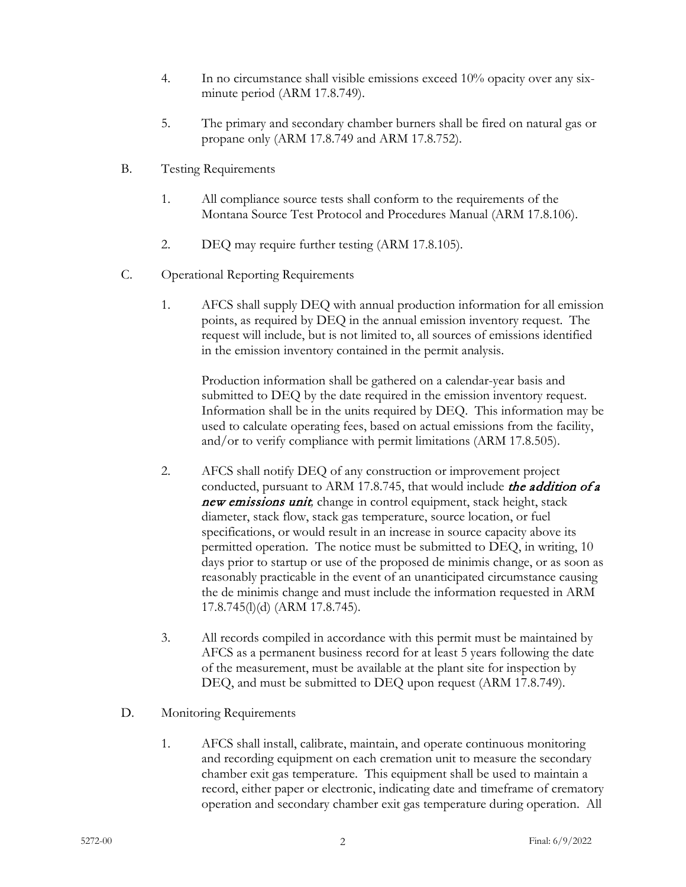- 4. In no circumstance shall visible emissions exceed 10% opacity over any sixminute period (ARM 17.8.749).
- 5. The primary and secondary chamber burners shall be fired on natural gas or propane only (ARM 17.8.749 and ARM 17.8.752).
- B. Testing Requirements
	- 1. All compliance source tests shall conform to the requirements of the Montana Source Test Protocol and Procedures Manual (ARM 17.8.106).
	- 2. DEQ may require further testing (ARM 17.8.105).
- C. Operational Reporting Requirements
	- 1. AFCS shall supply DEQ with annual production information for all emission points, as required by DEQ in the annual emission inventory request. The request will include, but is not limited to, all sources of emissions identified in the emission inventory contained in the permit analysis.

Production information shall be gathered on a calendar-year basis and submitted to DEQ by the date required in the emission inventory request. Information shall be in the units required by DEQ. This information may be used to calculate operating fees, based on actual emissions from the facility, and/or to verify compliance with permit limitations (ARM 17.8.505).

- 2. AFCS shall notify DEQ of any construction or improvement project conducted, pursuant to ARM 17.8.745, that would include the addition of a new emissions unit*,* change in control equipment, stack height, stack diameter, stack flow, stack gas temperature, source location, or fuel specifications, or would result in an increase in source capacity above its permitted operation. The notice must be submitted to DEQ, in writing, 10 days prior to startup or use of the proposed de minimis change, or as soon as reasonably practicable in the event of an unanticipated circumstance causing the de minimis change and must include the information requested in ARM 17.8.745(l)(d) (ARM 17.8.745).
- 3. All records compiled in accordance with this permit must be maintained by AFCS as a permanent business record for at least 5 years following the date of the measurement, must be available at the plant site for inspection by DEQ, and must be submitted to DEQ upon request (ARM 17.8.749).
- D. Monitoring Requirements
	- 1. AFCS shall install, calibrate, maintain, and operate continuous monitoring and recording equipment on each cremation unit to measure the secondary chamber exit gas temperature. This equipment shall be used to maintain a record, either paper or electronic, indicating date and timeframe of crematory operation and secondary chamber exit gas temperature during operation. All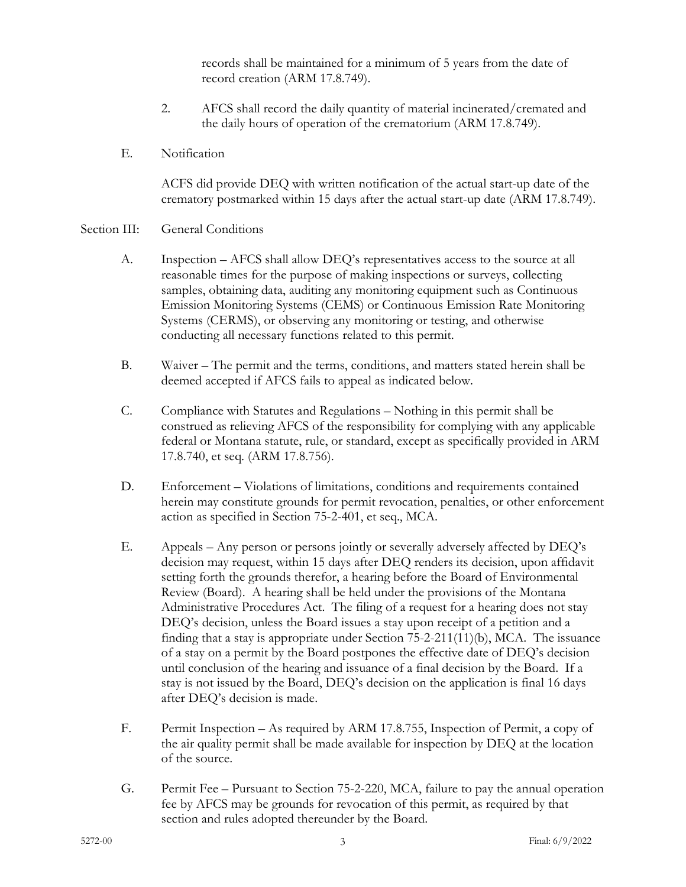records shall be maintained for a minimum of 5 years from the date of record creation (ARM 17.8.749).

- 2. AFCS shall record the daily quantity of material incinerated/cremated and the daily hours of operation of the crematorium (ARM 17.8.749).
- E. Notification

ACFS did provide DEQ with written notification of the actual start-up date of the crematory postmarked within 15 days after the actual start-up date (ARM 17.8.749).

#### Section III: General Conditions

- A. Inspection AFCS shall allow DEQ's representatives access to the source at all reasonable times for the purpose of making inspections or surveys, collecting samples, obtaining data, auditing any monitoring equipment such as Continuous Emission Monitoring Systems (CEMS) or Continuous Emission Rate Monitoring Systems (CERMS), or observing any monitoring or testing, and otherwise conducting all necessary functions related to this permit.
- B. Waiver The permit and the terms, conditions, and matters stated herein shall be deemed accepted if AFCS fails to appeal as indicated below.
- C. Compliance with Statutes and Regulations Nothing in this permit shall be construed as relieving AFCS of the responsibility for complying with any applicable federal or Montana statute, rule, or standard, except as specifically provided in ARM 17.8.740, et seq. (ARM 17.8.756).
- D. Enforcement Violations of limitations, conditions and requirements contained herein may constitute grounds for permit revocation, penalties, or other enforcement action as specified in Section 75-2-401, et seq., MCA.
- E. Appeals Any person or persons jointly or severally adversely affected by DEQ's decision may request, within 15 days after DEQ renders its decision, upon affidavit setting forth the grounds therefor, a hearing before the Board of Environmental Review (Board). A hearing shall be held under the provisions of the Montana Administrative Procedures Act. The filing of a request for a hearing does not stay DEQ's decision, unless the Board issues a stay upon receipt of a petition and a finding that a stay is appropriate under Section 75-2-211(11)(b), MCA. The issuance of a stay on a permit by the Board postpones the effective date of DEQ's decision until conclusion of the hearing and issuance of a final decision by the Board. If a stay is not issued by the Board, DEQ's decision on the application is final 16 days after DEQ's decision is made.
- F. Permit Inspection As required by ARM 17.8.755, Inspection of Permit, a copy of the air quality permit shall be made available for inspection by DEQ at the location of the source.
- G. Permit Fee Pursuant to Section 75-2-220, MCA, failure to pay the annual operation fee by AFCS may be grounds for revocation of this permit, as required by that section and rules adopted thereunder by the Board.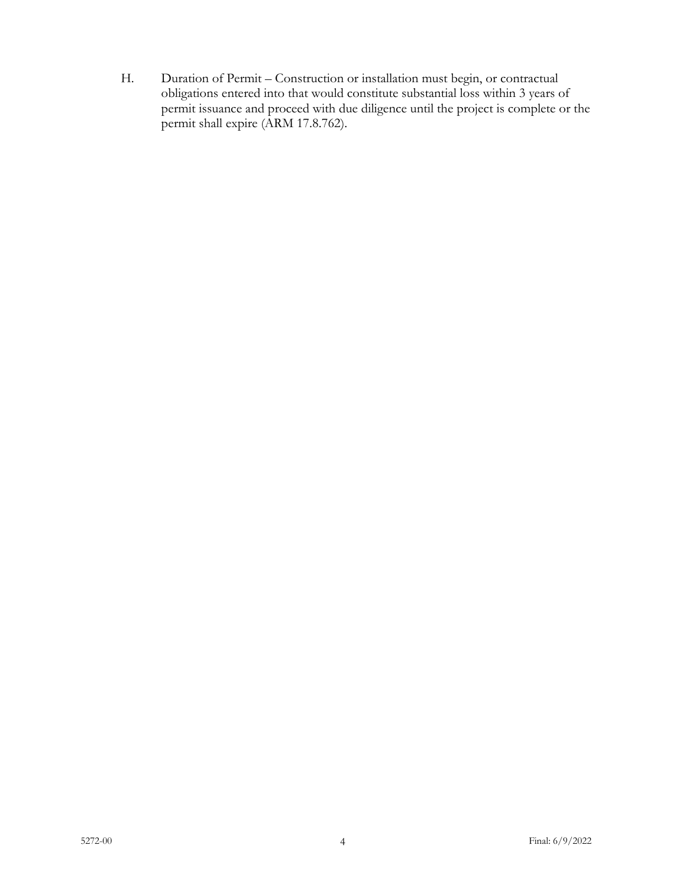H. Duration of Permit – Construction or installation must begin, or contractual obligations entered into that would constitute substantial loss within 3 years of permit issuance and proceed with due diligence until the project is complete or the permit shall expire (ARM 17.8.762).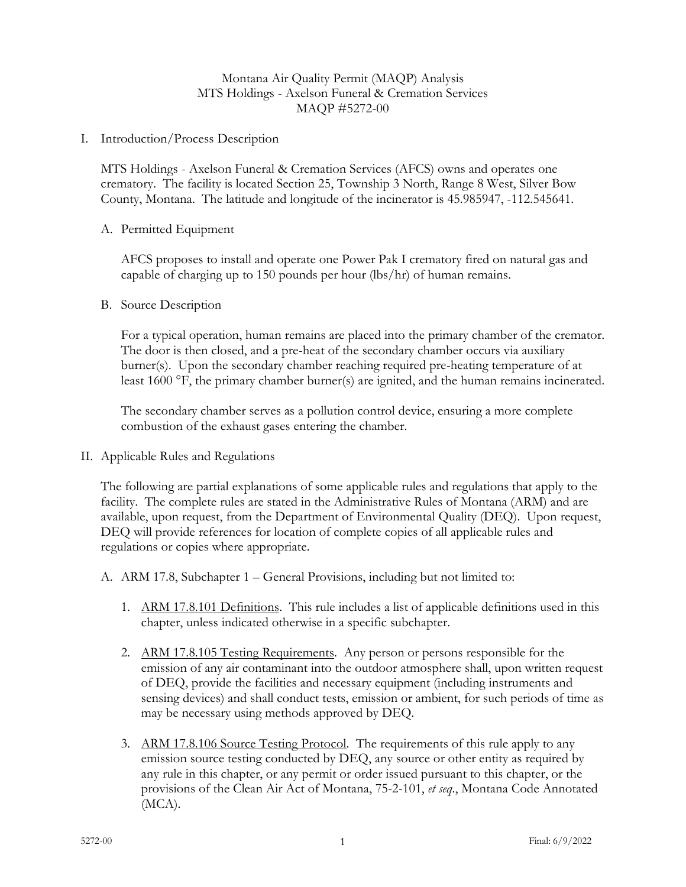# Montana Air Quality Permit (MAQP) Analysis MTS Holdings - Axelson Funeral & Cremation Services MAQP #5272-00

I. Introduction/Process Description

MTS Holdings - Axelson Funeral & Cremation Services (AFCS) owns and operates one crematory. The facility is located Section 25, Township 3 North, Range 8 West, Silver Bow County, Montana. The latitude and longitude of the incinerator is 45.985947, -112.545641.

#### A. Permitted Equipment

AFCS proposes to install and operate one Power Pak I crematory fired on natural gas and capable of charging up to 150 pounds per hour (lbs/hr) of human remains.

B. Source Description

For a typical operation, human remains are placed into the primary chamber of the cremator. The door is then closed, and a pre-heat of the secondary chamber occurs via auxiliary burner(s). Upon the secondary chamber reaching required pre-heating temperature of at least 1600 °F, the primary chamber burner(s) are ignited, and the human remains incinerated.

The secondary chamber serves as a pollution control device, ensuring a more complete combustion of the exhaust gases entering the chamber.

II. Applicable Rules and Regulations

The following are partial explanations of some applicable rules and regulations that apply to the facility. The complete rules are stated in the Administrative Rules of Montana (ARM) and are available, upon request, from the Department of Environmental Quality (DEQ). Upon request, DEQ will provide references for location of complete copies of all applicable rules and regulations or copies where appropriate.

- A. ARM 17.8, Subchapter 1 General Provisions, including but not limited to:
	- 1. ARM 17.8.101 Definitions. This rule includes a list of applicable definitions used in this chapter, unless indicated otherwise in a specific subchapter.
	- 2. ARM 17.8.105 Testing Requirements. Any person or persons responsible for the emission of any air contaminant into the outdoor atmosphere shall, upon written request of DEQ, provide the facilities and necessary equipment (including instruments and sensing devices) and shall conduct tests, emission or ambient, for such periods of time as may be necessary using methods approved by DEQ.
	- 3. ARM 17.8.106 Source Testing Protocol. The requirements of this rule apply to any emission source testing conducted by DEQ, any source or other entity as required by any rule in this chapter, or any permit or order issued pursuant to this chapter, or the provisions of the Clean Air Act of Montana, 75-2-101, *et seq*., Montana Code Annotated (MCA).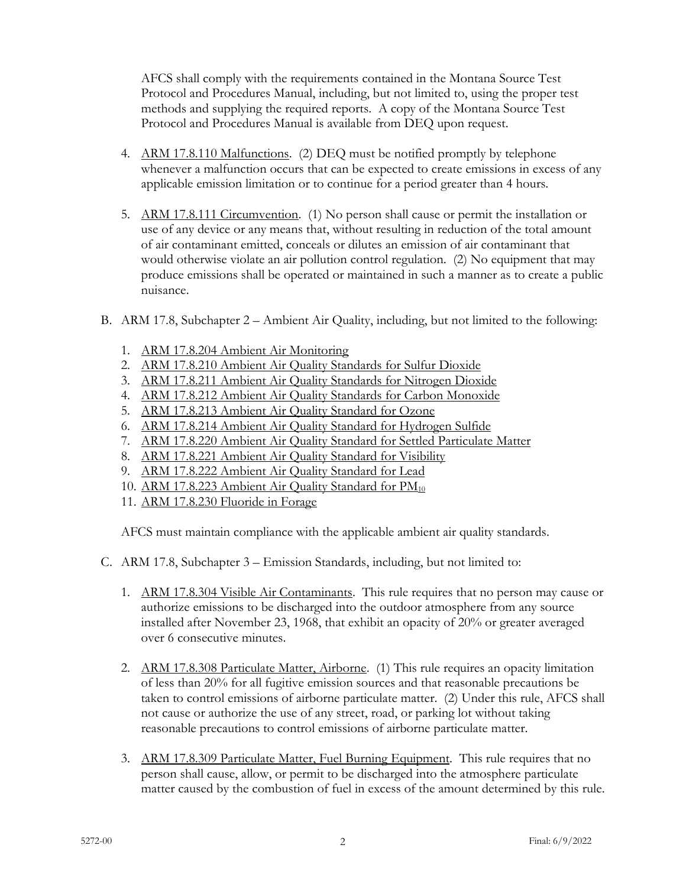AFCS shall comply with the requirements contained in the Montana Source Test Protocol and Procedures Manual, including, but not limited to, using the proper test methods and supplying the required reports. A copy of the Montana Source Test Protocol and Procedures Manual is available from DEQ upon request.

- 4. ARM 17.8.110 Malfunctions. (2) DEQ must be notified promptly by telephone whenever a malfunction occurs that can be expected to create emissions in excess of any applicable emission limitation or to continue for a period greater than 4 hours.
- 5. ARM 17.8.111 Circumvention. (1) No person shall cause or permit the installation or use of any device or any means that, without resulting in reduction of the total amount of air contaminant emitted, conceals or dilutes an emission of air contaminant that would otherwise violate an air pollution control regulation. (2) No equipment that may produce emissions shall be operated or maintained in such a manner as to create a public nuisance.
- B. ARM 17.8, Subchapter 2 Ambient Air Quality, including, but not limited to the following:
	- 1. ARM 17.8.204 Ambient Air Monitoring
	- 2. ARM 17.8.210 Ambient Air Quality Standards for Sulfur Dioxide
	- 3. ARM 17.8.211 Ambient Air Quality Standards for Nitrogen Dioxide
	- 4. ARM 17.8.212 Ambient Air Quality Standards for Carbon Monoxide
	- 5. ARM 17.8.213 Ambient Air Quality Standard for Ozone
	- 6. ARM 17.8.214 Ambient Air Quality Standard for Hydrogen Sulfide
	- 7. ARM 17.8.220 Ambient Air Quality Standard for Settled Particulate Matter
	- 8. ARM 17.8.221 Ambient Air Quality Standard for Visibility
	- 9. ARM 17.8.222 Ambient Air Quality Standard for Lead
	- 10. ARM 17.8.223 Ambient Air Quality Standard for PM<sub>10</sub>
	- 11. ARM 17.8.230 Fluoride in Forage

AFCS must maintain compliance with the applicable ambient air quality standards.

- C. ARM 17.8, Subchapter 3 Emission Standards, including, but not limited to:
	- 1. ARM 17.8.304 Visible Air Contaminants. This rule requires that no person may cause or authorize emissions to be discharged into the outdoor atmosphere from any source installed after November 23, 1968, that exhibit an opacity of 20% or greater averaged over 6 consecutive minutes.
	- 2. ARM 17.8.308 Particulate Matter, Airborne. (1) This rule requires an opacity limitation of less than 20% for all fugitive emission sources and that reasonable precautions be taken to control emissions of airborne particulate matter. (2) Under this rule, AFCS shall not cause or authorize the use of any street, road, or parking lot without taking reasonable precautions to control emissions of airborne particulate matter.
	- 3. ARM 17.8.309 Particulate Matter, Fuel Burning Equipment. This rule requires that no person shall cause, allow, or permit to be discharged into the atmosphere particulate matter caused by the combustion of fuel in excess of the amount determined by this rule.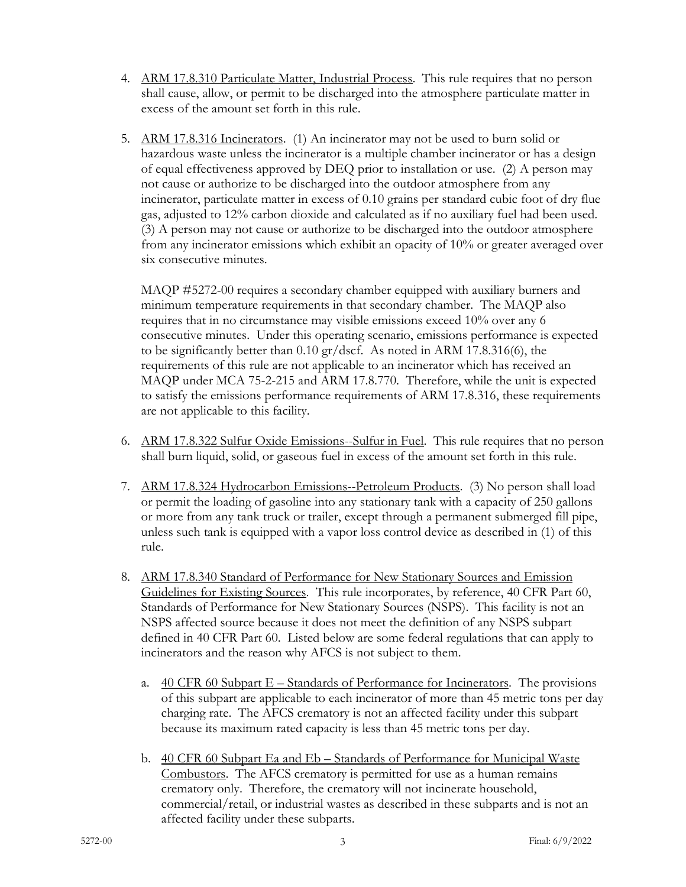- 4. ARM 17.8.310 Particulate Matter, Industrial Process. This rule requires that no person shall cause, allow, or permit to be discharged into the atmosphere particulate matter in excess of the amount set forth in this rule.
- 5. ARM 17.8.316 Incinerators. (1) An incinerator may not be used to burn solid or hazardous waste unless the incinerator is a multiple chamber incinerator or has a design of equal effectiveness approved by DEQ prior to installation or use. (2) A person may not cause or authorize to be discharged into the outdoor atmosphere from any incinerator, particulate matter in excess of 0.10 grains per standard cubic foot of dry flue gas, adjusted to 12% carbon dioxide and calculated as if no auxiliary fuel had been used. (3) A person may not cause or authorize to be discharged into the outdoor atmosphere from any incinerator emissions which exhibit an opacity of 10% or greater averaged over six consecutive minutes.

MAQP #5272-00 requires a secondary chamber equipped with auxiliary burners and minimum temperature requirements in that secondary chamber. The MAQP also requires that in no circumstance may visible emissions exceed 10% over any 6 consecutive minutes. Under this operating scenario, emissions performance is expected to be significantly better than 0.10 gr/dscf. As noted in ARM 17.8.316(6), the requirements of this rule are not applicable to an incinerator which has received an MAQP under MCA 75-2-215 and ARM 17.8.770. Therefore, while the unit is expected to satisfy the emissions performance requirements of ARM 17.8.316, these requirements are not applicable to this facility.

- 6. ARM 17.8.322 Sulfur Oxide Emissions--Sulfur in Fuel. This rule requires that no person shall burn liquid, solid, or gaseous fuel in excess of the amount set forth in this rule.
- 7. ARM 17.8.324 Hydrocarbon Emissions--Petroleum Products. (3) No person shall load or permit the loading of gasoline into any stationary tank with a capacity of 250 gallons or more from any tank truck or trailer, except through a permanent submerged fill pipe, unless such tank is equipped with a vapor loss control device as described in (1) of this rule.
- 8. ARM 17.8.340 Standard of Performance for New Stationary Sources and Emission Guidelines for Existing Sources. This rule incorporates, by reference, 40 CFR Part 60, Standards of Performance for New Stationary Sources (NSPS). This facility is not an NSPS affected source because it does not meet the definition of any NSPS subpart defined in 40 CFR Part 60. Listed below are some federal regulations that can apply to incinerators and the reason why AFCS is not subject to them.
	- a.  $\frac{40 \text{ CFR } 60 \text{ Subpart } E \text{Standards of Performance for Incinerators.}$  The provisions of this subpart are applicable to each incinerator of more than 45 metric tons per day charging rate. The AFCS crematory is not an affected facility under this subpart because its maximum rated capacity is less than 45 metric tons per day.
	- b. 40 CFR 60 Subpart Ea and Eb Standards of Performance for Municipal Waste Combustors. The AFCS crematory is permitted for use as a human remains crematory only. Therefore, the crematory will not incinerate household, commercial/retail, or industrial wastes as described in these subparts and is not an affected facility under these subparts.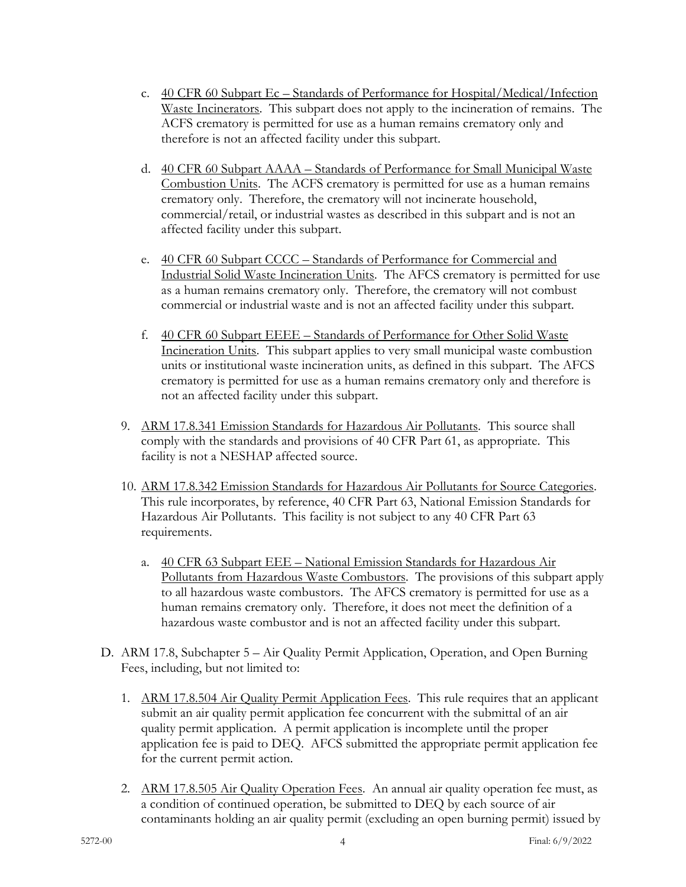- c. 40 CFR 60 Subpart Ec Standards of Performance for Hospital/Medical/Infection Waste Incinerators. This subpart does not apply to the incineration of remains. The ACFS crematory is permitted for use as a human remains crematory only and therefore is not an affected facility under this subpart.
- d. 40 CFR 60 Subpart AAAA Standards of Performance for Small Municipal Waste Combustion Units. The ACFS crematory is permitted for use as a human remains crematory only. Therefore, the crematory will not incinerate household, commercial/retail, or industrial wastes as described in this subpart and is not an affected facility under this subpart.
- e. 40 CFR 60 Subpart CCCC Standards of Performance for Commercial and Industrial Solid Waste Incineration Units. The AFCS crematory is permitted for use as a human remains crematory only. Therefore, the crematory will not combust commercial or industrial waste and is not an affected facility under this subpart.
- f. 40 CFR 60 Subpart EEEE Standards of Performance for Other Solid Waste Incineration Units. This subpart applies to very small municipal waste combustion units or institutional waste incineration units, as defined in this subpart. The AFCS crematory is permitted for use as a human remains crematory only and therefore is not an affected facility under this subpart.
- 9. ARM 17.8.341 Emission Standards for Hazardous Air Pollutants. This source shall comply with the standards and provisions of 40 CFR Part 61, as appropriate. This facility is not a NESHAP affected source.
- 10. ARM 17.8.342 Emission Standards for Hazardous Air Pollutants for Source Categories. This rule incorporates, by reference, 40 CFR Part 63, National Emission Standards for Hazardous Air Pollutants. This facility is not subject to any 40 CFR Part 63 requirements.
	- a. 40 CFR 63 Subpart EEE National Emission Standards for Hazardous Air Pollutants from Hazardous Waste Combustors. The provisions of this subpart apply to all hazardous waste combustors. The AFCS crematory is permitted for use as a human remains crematory only. Therefore, it does not meet the definition of a hazardous waste combustor and is not an affected facility under this subpart.
- D. ARM 17.8, Subchapter 5 Air Quality Permit Application, Operation, and Open Burning Fees, including, but not limited to:
	- 1. ARM 17.8.504 Air Quality Permit Application Fees. This rule requires that an applicant submit an air quality permit application fee concurrent with the submittal of an air quality permit application. A permit application is incomplete until the proper application fee is paid to DEQ. AFCS submitted the appropriate permit application fee for the current permit action.
	- 2. ARM 17.8.505 Air Quality Operation Fees. An annual air quality operation fee must, as a condition of continued operation, be submitted to DEQ by each source of air contaminants holding an air quality permit (excluding an open burning permit) issued by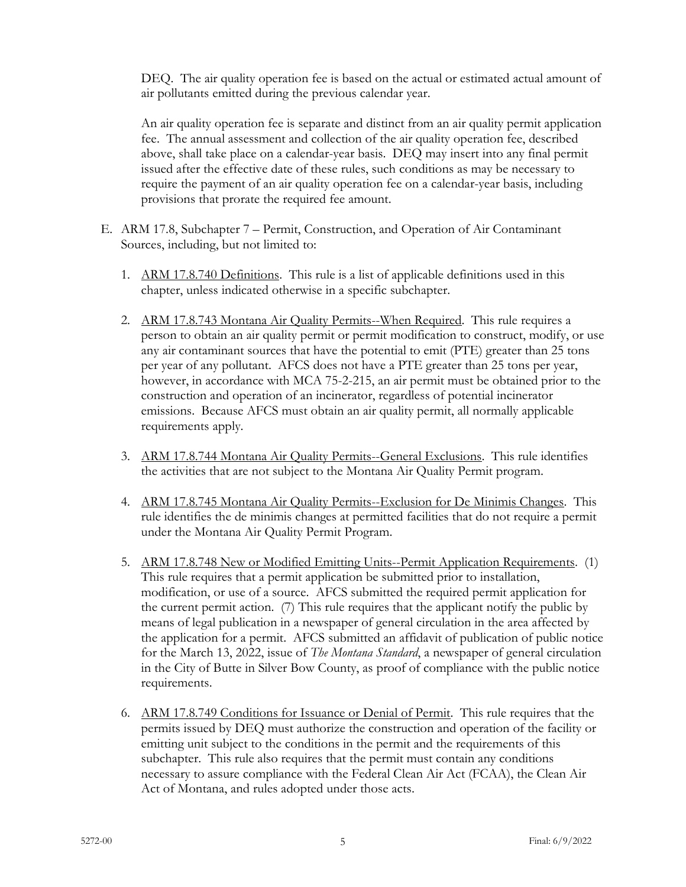DEQ. The air quality operation fee is based on the actual or estimated actual amount of air pollutants emitted during the previous calendar year.

An air quality operation fee is separate and distinct from an air quality permit application fee. The annual assessment and collection of the air quality operation fee, described above, shall take place on a calendar-year basis. DEQ may insert into any final permit issued after the effective date of these rules, such conditions as may be necessary to require the payment of an air quality operation fee on a calendar-year basis, including provisions that prorate the required fee amount.

- E. ARM 17.8, Subchapter 7 Permit, Construction, and Operation of Air Contaminant Sources, including, but not limited to:
	- 1. ARM 17.8.740 Definitions. This rule is a list of applicable definitions used in this chapter, unless indicated otherwise in a specific subchapter.
	- 2. ARM 17.8.743 Montana Air Quality Permits--When Required. This rule requires a person to obtain an air quality permit or permit modification to construct, modify, or use any air contaminant sources that have the potential to emit (PTE) greater than 25 tons per year of any pollutant. AFCS does not have a PTE greater than 25 tons per year, however, in accordance with MCA 75-2-215, an air permit must be obtained prior to the construction and operation of an incinerator, regardless of potential incinerator emissions. Because AFCS must obtain an air quality permit, all normally applicable requirements apply.
	- 3. ARM 17.8.744 Montana Air Quality Permits--General Exclusions. This rule identifies the activities that are not subject to the Montana Air Quality Permit program.
	- 4. ARM 17.8.745 Montana Air Quality Permits--Exclusion for De Minimis Changes. This rule identifies the de minimis changes at permitted facilities that do not require a permit under the Montana Air Quality Permit Program.
	- 5. ARM 17.8.748 New or Modified Emitting Units--Permit Application Requirements. (1) This rule requires that a permit application be submitted prior to installation, modification, or use of a source. AFCS submitted the required permit application for the current permit action. (7) This rule requires that the applicant notify the public by means of legal publication in a newspaper of general circulation in the area affected by the application for a permit. AFCS submitted an affidavit of publication of public notice for the March 13, 2022, issue of *The Montana Standard*, a newspaper of general circulation in the City of Butte in Silver Bow County, as proof of compliance with the public notice requirements.
	- 6. ARM 17.8.749 Conditions for Issuance or Denial of Permit. This rule requires that the permits issued by DEQ must authorize the construction and operation of the facility or emitting unit subject to the conditions in the permit and the requirements of this subchapter. This rule also requires that the permit must contain any conditions necessary to assure compliance with the Federal Clean Air Act (FCAA), the Clean Air Act of Montana, and rules adopted under those acts.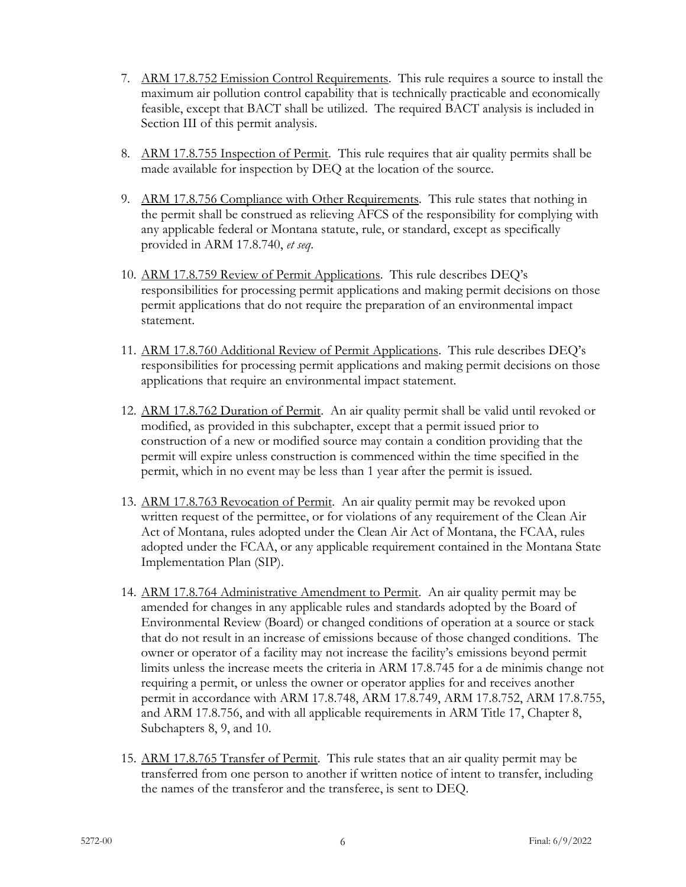- 7. ARM 17.8.752 Emission Control Requirements. This rule requires a source to install the maximum air pollution control capability that is technically practicable and economically feasible, except that BACT shall be utilized. The required BACT analysis is included in Section III of this permit analysis.
- 8. ARM 17.8.755 Inspection of Permit. This rule requires that air quality permits shall be made available for inspection by DEQ at the location of the source.
- 9. ARM 17.8.756 Compliance with Other Requirements. This rule states that nothing in the permit shall be construed as relieving AFCS of the responsibility for complying with any applicable federal or Montana statute, rule, or standard, except as specifically provided in ARM 17.8.740, *et seq*.
- 10. ARM 17.8.759 Review of Permit Applications. This rule describes DEQ's responsibilities for processing permit applications and making permit decisions on those permit applications that do not require the preparation of an environmental impact statement.
- 11. ARM 17.8.760 Additional Review of Permit Applications. This rule describes DEQ's responsibilities for processing permit applications and making permit decisions on those applications that require an environmental impact statement.
- 12. ARM 17.8.762 Duration of Permit. An air quality permit shall be valid until revoked or modified, as provided in this subchapter, except that a permit issued prior to construction of a new or modified source may contain a condition providing that the permit will expire unless construction is commenced within the time specified in the permit, which in no event may be less than 1 year after the permit is issued.
- 13. ARM 17.8.763 Revocation of Permit. An air quality permit may be revoked upon written request of the permittee, or for violations of any requirement of the Clean Air Act of Montana, rules adopted under the Clean Air Act of Montana, the FCAA, rules adopted under the FCAA, or any applicable requirement contained in the Montana State Implementation Plan (SIP).
- 14. ARM 17.8.764 Administrative Amendment to Permit. An air quality permit may be amended for changes in any applicable rules and standards adopted by the Board of Environmental Review (Board) or changed conditions of operation at a source or stack that do not result in an increase of emissions because of those changed conditions. The owner or operator of a facility may not increase the facility's emissions beyond permit limits unless the increase meets the criteria in ARM 17.8.745 for a de minimis change not requiring a permit, or unless the owner or operator applies for and receives another permit in accordance with ARM 17.8.748, ARM 17.8.749, ARM 17.8.752, ARM 17.8.755, and ARM 17.8.756, and with all applicable requirements in ARM Title 17, Chapter 8, Subchapters 8, 9, and 10.
- 15. ARM 17.8.765 Transfer of Permit. This rule states that an air quality permit may be transferred from one person to another if written notice of intent to transfer, including the names of the transferor and the transferee, is sent to DEQ.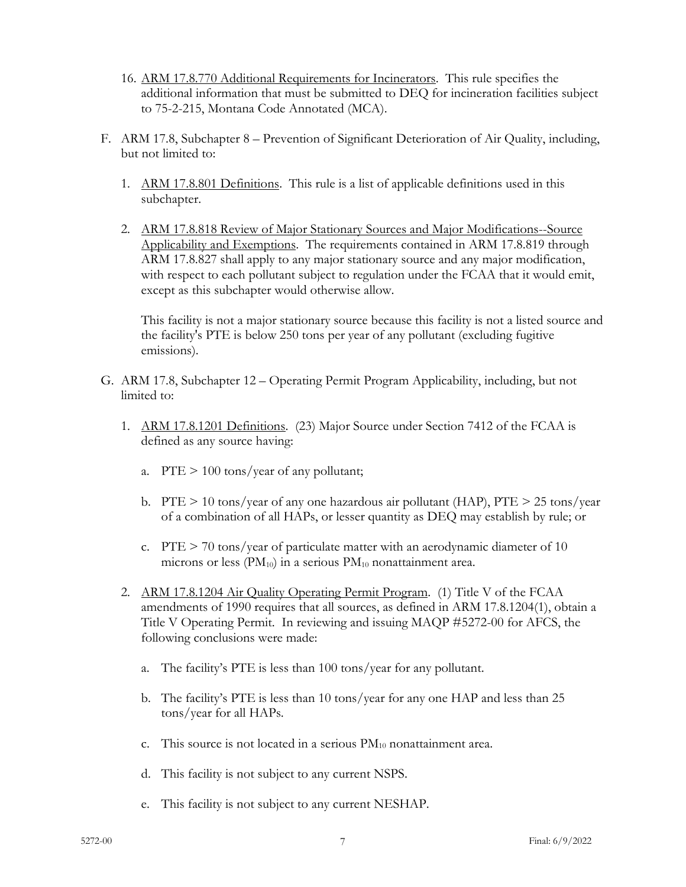- 16. ARM 17.8.770 Additional Requirements for Incinerators. This rule specifies the additional information that must be submitted to DEQ for incineration facilities subject to 75-2-215, Montana Code Annotated (MCA).
- F. ARM 17.8, Subchapter 8 Prevention of Significant Deterioration of Air Quality, including, but not limited to:
	- 1. ARM 17.8.801 Definitions. This rule is a list of applicable definitions used in this subchapter.
	- 2. ARM 17.8.818 Review of Major Stationary Sources and Major Modifications--Source Applicability and Exemptions. The requirements contained in ARM 17.8.819 through ARM 17.8.827 shall apply to any major stationary source and any major modification, with respect to each pollutant subject to regulation under the FCAA that it would emit, except as this subchapter would otherwise allow.

This facility is not a major stationary source because this facility is not a listed source and the facility's PTE is below 250 tons per year of any pollutant (excluding fugitive emissions).

- G. ARM 17.8, Subchapter 12 Operating Permit Program Applicability, including, but not limited to:
	- 1. ARM 17.8.1201 Definitions. (23) Major Source under Section 7412 of the FCAA is defined as any source having:
		- a. PTE  $> 100$  tons/year of any pollutant;
		- b. PTE  $> 10$  tons/year of any one hazardous air pollutant (HAP), PTE  $> 25$  tons/year of a combination of all HAPs, or lesser quantity as DEQ may establish by rule; or
		- c.  $PTE > 70$  tons/year of particulate matter with an aerodynamic diameter of 10 microns or less  $(PM_{10})$  in a serious  $PM_{10}$  nonattainment area.
	- 2. ARM 17.8.1204 Air Quality Operating Permit Program. (1) Title V of the FCAA amendments of 1990 requires that all sources, as defined in ARM 17.8.1204(1), obtain a Title V Operating Permit. In reviewing and issuing MAQP #5272-00 for AFCS, the following conclusions were made:
		- a. The facility's PTE is less than 100 tons/year for any pollutant.
		- b. The facility's PTE is less than 10 tons/year for any one HAP and less than 25 tons/year for all HAPs.
		- c. This source is not located in a serious  $PM_{10}$  nonattainment area.
		- d. This facility is not subject to any current NSPS.
		- e. This facility is not subject to any current NESHAP.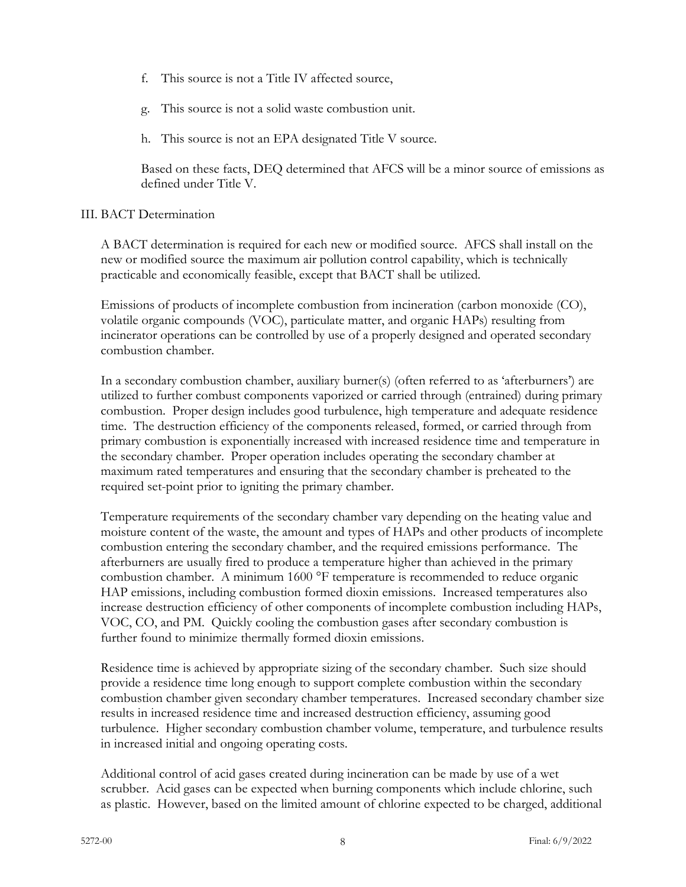- f. This source is not a Title IV affected source,
- g. This source is not a solid waste combustion unit.
- h. This source is not an EPA designated Title V source.

Based on these facts, DEQ determined that AFCS will be a minor source of emissions as defined under Title V.

# III. BACT Determination

A BACT determination is required for each new or modified source. AFCS shall install on the new or modified source the maximum air pollution control capability, which is technically practicable and economically feasible, except that BACT shall be utilized.

Emissions of products of incomplete combustion from incineration (carbon monoxide (CO), volatile organic compounds (VOC), particulate matter, and organic HAPs) resulting from incinerator operations can be controlled by use of a properly designed and operated secondary combustion chamber.

In a secondary combustion chamber, auxiliary burner(s) (often referred to as 'afterburners') are utilized to further combust components vaporized or carried through (entrained) during primary combustion. Proper design includes good turbulence, high temperature and adequate residence time. The destruction efficiency of the components released, formed, or carried through from primary combustion is exponentially increased with increased residence time and temperature in the secondary chamber. Proper operation includes operating the secondary chamber at maximum rated temperatures and ensuring that the secondary chamber is preheated to the required set-point prior to igniting the primary chamber.

Temperature requirements of the secondary chamber vary depending on the heating value and moisture content of the waste, the amount and types of HAPs and other products of incomplete combustion entering the secondary chamber, and the required emissions performance. The afterburners are usually fired to produce a temperature higher than achieved in the primary combustion chamber. A minimum 1600 °F temperature is recommended to reduce organic HAP emissions, including combustion formed dioxin emissions. Increased temperatures also increase destruction efficiency of other components of incomplete combustion including HAPs, VOC, CO, and PM. Quickly cooling the combustion gases after secondary combustion is further found to minimize thermally formed dioxin emissions.

Residence time is achieved by appropriate sizing of the secondary chamber. Such size should provide a residence time long enough to support complete combustion within the secondary combustion chamber given secondary chamber temperatures. Increased secondary chamber size results in increased residence time and increased destruction efficiency, assuming good turbulence. Higher secondary combustion chamber volume, temperature, and turbulence results in increased initial and ongoing operating costs.

Additional control of acid gases created during incineration can be made by use of a wet scrubber. Acid gases can be expected when burning components which include chlorine, such as plastic. However, based on the limited amount of chlorine expected to be charged, additional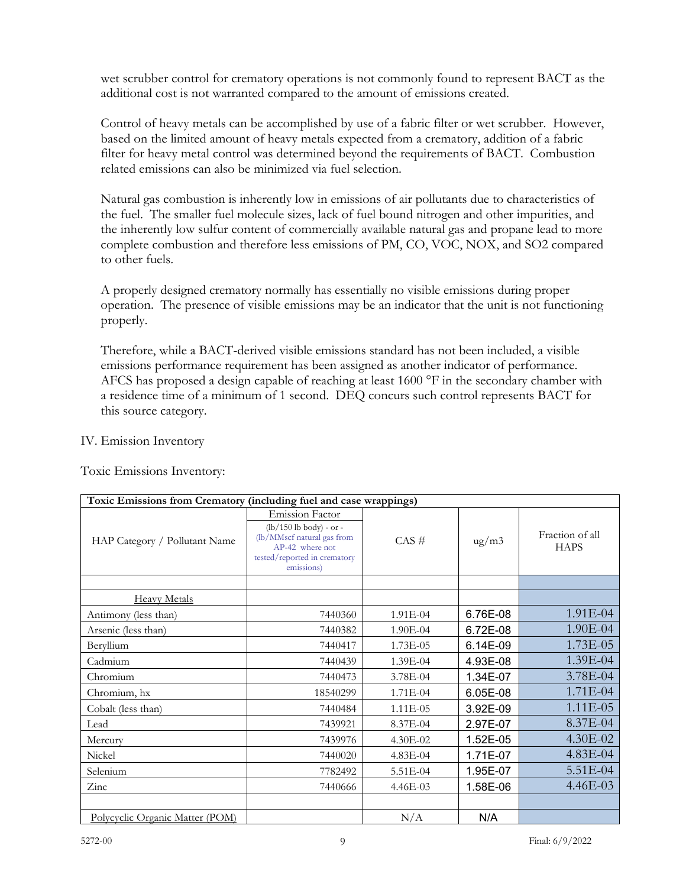wet scrubber control for crematory operations is not commonly found to represent BACT as the additional cost is not warranted compared to the amount of emissions created.

Control of heavy metals can be accomplished by use of a fabric filter or wet scrubber. However, based on the limited amount of heavy metals expected from a crematory, addition of a fabric filter for heavy metal control was determined beyond the requirements of BACT. Combustion related emissions can also be minimized via fuel selection.

Natural gas combustion is inherently low in emissions of air pollutants due to characteristics of the fuel. The smaller fuel molecule sizes, lack of fuel bound nitrogen and other impurities, and the inherently low sulfur content of commercially available natural gas and propane lead to more complete combustion and therefore less emissions of PM, CO, VOC, NOX, and SO2 compared to other fuels.

A properly designed crematory normally has essentially no visible emissions during proper operation. The presence of visible emissions may be an indicator that the unit is not functioning properly.

Therefore, while a BACT-derived visible emissions standard has not been included, a visible emissions performance requirement has been assigned as another indicator of performance. AFCS has proposed a design capable of reaching at least 1600 °F in the secondary chamber with a residence time of a minimum of 1 second. DEQ concurs such control represents BACT for this source category.

IV. Emission Inventory

Toxic Emissions Inventory:

| Toxic Emissions from Crematory (including fuel and case wrappings) |                                                                                                                                                    |               |                    |                                |  |  |
|--------------------------------------------------------------------|----------------------------------------------------------------------------------------------------------------------------------------------------|---------------|--------------------|--------------------------------|--|--|
| HAP Category / Pollutant Name                                      | <b>Emission Factor</b><br>$(lb/150 lb body) - or -$<br>(lb/MMscf natural gas from<br>AP-42 where not<br>tested/reported in crematory<br>emissions) | $CAS \#$      | $\frac{u}{g}}{m3}$ | Fraction of all<br><b>HAPS</b> |  |  |
|                                                                    |                                                                                                                                                    |               |                    |                                |  |  |
| <b>Heavy Metals</b>                                                |                                                                                                                                                    |               |                    |                                |  |  |
| Antimony (less than)                                               | 7440360                                                                                                                                            | $1.91E-04$    | 6.76E-08           | 1.91E-04                       |  |  |
| Arsenic (less than)                                                | 7440382                                                                                                                                            | 1.90E-04      | 6.72E-08           | 1.90E-04                       |  |  |
| Beryllium                                                          | 7440417                                                                                                                                            | $1.73E - 0.5$ | 6.14E-09           | $1.73E-05$                     |  |  |
| Cadmium                                                            | 7440439                                                                                                                                            | 1.39E-04      | 4.93E-08           | 1.39E-04                       |  |  |
| Chromium                                                           | 7440473                                                                                                                                            | 3.78E-04      | 1.34E-07           | 3.78E-04                       |  |  |
| Chromium, hx                                                       | 18540299                                                                                                                                           | 1.71E-04      | 6.05E-08           | $1.71E-04$                     |  |  |
| Cobalt (less than)                                                 | 7440484                                                                                                                                            | $1.11E-05$    | 3.92E-09           | $1.11E-05$                     |  |  |
| Lead                                                               | 7439921                                                                                                                                            | 8.37E-04      | 2.97E-07           | 8.37E-04                       |  |  |
| Mercury                                                            | 7439976                                                                                                                                            | 4.30E-02      | 1.52E-05           | 4.30E-02                       |  |  |
| Nickel                                                             | 7440020                                                                                                                                            | $4.83E-04$    | 1.71E-07           | 4.83E-04                       |  |  |
| Selenium                                                           | 7782492                                                                                                                                            | 5.51E-04      | 1.95E-07           | 5.51E-04                       |  |  |
| Zinc                                                               | 7440666                                                                                                                                            | $4.46E - 03$  | 1.58E-06           | 4.46E-03                       |  |  |
|                                                                    |                                                                                                                                                    |               |                    |                                |  |  |
| <u>Polycyclic Organic Matter (POM)</u>                             |                                                                                                                                                    | N/A           | N/A                |                                |  |  |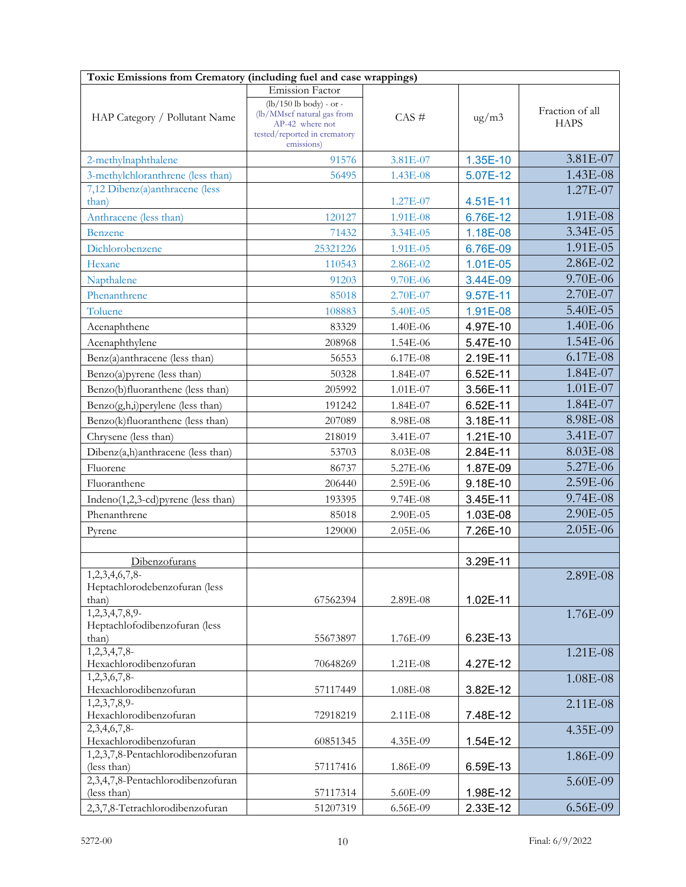| Toxic Emissions from Crematory (including fuel and case wrappings) |                                                         |            |                 |                 |  |  |
|--------------------------------------------------------------------|---------------------------------------------------------|------------|-----------------|-----------------|--|--|
|                                                                    | Emission Factor                                         |            |                 |                 |  |  |
|                                                                    | $(lb/150 lb body)$ - or -<br>(lb/MMscf natural gas from |            |                 | Fraction of all |  |  |
| HAP Category / Pollutant Name                                      | AP-42 where not                                         | $CAS \#$   | $\frac{ug}{m3}$ | <b>HAPS</b>     |  |  |
|                                                                    | tested/reported in crematory<br>emissions)              |            |                 |                 |  |  |
| 2-methylnaphthalene                                                | 91576                                                   | 3.81E-07   | 1.35E-10        | 3.81E-07        |  |  |
| 3-methylchloranthrene (less than)                                  | 56495                                                   | 1.43E-08   | 5.07E-12        | 1.43E-08        |  |  |
| 7,12 Dibenz(a)anthracene (less                                     |                                                         |            |                 | 1.27E-07        |  |  |
| than)                                                              |                                                         | 1.27E-07   | 4.51E-11        |                 |  |  |
| Anthracene (less than)                                             | 120127                                                  | 1.91E-08   | 6.76E-12        | 1.91E-08        |  |  |
| <b>Benzene</b>                                                     | 71432                                                   | 3.34E-05   | 1.18E-08        | 3.34E-05        |  |  |
| Dichlorobenzene                                                    | 25321226                                                | 1.91E-05   | 6.76E-09        | 1.91E-05        |  |  |
| Hexane                                                             | 110543                                                  | 2.86E-02   | 1.01E-05        | 2.86E-02        |  |  |
| Napthalene                                                         | 91203                                                   | $9.70E-06$ | 3.44E-09        | 9.70E-06        |  |  |
| Phenanthrene                                                       | 85018                                                   | 2.70E-07   | 9.57E-11        | 2.70E-07        |  |  |
| Toluene                                                            | 108883                                                  | 5.40E-05   | 1.91E-08        | 5.40E-05        |  |  |
| Acenaphthene                                                       | 83329                                                   | 1.40E-06   | 4.97E-10        | 1.40E-06        |  |  |
| Acenaphthylene                                                     | 208968                                                  | 1.54E-06   | 5.47E-10        | 1.54E-06        |  |  |
| Benz(a)anthracene (less than)                                      | 56553                                                   | 6.17E-08   | 2.19E-11        | 6.17E-08        |  |  |
| Benzo(a)pyrene (less than)                                         | 50328                                                   | 1.84E-07   | 6.52E-11        | 1.84E-07        |  |  |
| Benzo(b)fluoranthene (less than)                                   | 205992                                                  | 1.01E-07   | 3.56E-11        | 1.01E-07        |  |  |
| Benzo(g,h,i)perylene (less than)                                   | 191242                                                  | 1.84E-07   | 6.52E-11        | 1.84E-07        |  |  |
| Benzo(k)fluoranthene (less than)                                   | 207089                                                  | 8.98E-08   | 3.18E-11        | 8.98E-08        |  |  |
| Chrysene (less than)                                               | 218019                                                  | 3.41E-07   | 1.21E-10        | 3.41E-07        |  |  |
| Dibenz(a,h)anthracene (less than)                                  | 53703                                                   | 8.03E-08   | 2.84E-11        | 8.03E-08        |  |  |
| Fluorene                                                           | 86737                                                   | 5.27E-06   | 1.87E-09        | 5.27E-06        |  |  |
| Fluoranthene                                                       | 206440                                                  | 2.59E-06   | 9.18E-10        | 2.59E-06        |  |  |
| Indeno(1,2,3-cd) pyrene (less than)                                | 193395                                                  | 9.74E-08   | 3.45E-11        | 9.74E-08        |  |  |
| Phenanthrene                                                       | 85018                                                   | 2.90E-05   | 1.03E-08        | 2.90E-05        |  |  |
| Pyrene                                                             | 129000                                                  | 2.05E-06   | 7.26E-10        | 2.05E-06        |  |  |
|                                                                    |                                                         |            |                 |                 |  |  |
| Dibenzofurans                                                      |                                                         |            | 3.29E-11        |                 |  |  |
| 1,2,3,4,6,7,8                                                      |                                                         |            |                 | 2.89E-08        |  |  |
| Heptachlorodebenzofuran (less                                      |                                                         |            |                 |                 |  |  |
| than)<br>1,2,3,4,7,8,9                                             | 67562394                                                | 2.89E-08   | 1.02E-11        |                 |  |  |
| Heptachlofodibenzofuran (less                                      |                                                         |            |                 | 1.76E-09        |  |  |
| than)                                                              | 55673897                                                | 1.76E-09   | 6.23E-13        |                 |  |  |
| 1,2,3,4,7,8                                                        |                                                         |            |                 | 1.21E-08        |  |  |
| Hexachlorodibenzofuran                                             | 70648269                                                | 1.21E-08   | 4.27E-12        |                 |  |  |
| 1,2,3,6,7,8<br>Hexachlorodibenzofuran                              | 57117449                                                | 1.08E-08   | 3.82E-12        | 1.08E-08        |  |  |
| 1,2,3,7,8,9-                                                       |                                                         |            |                 | 2.11E-08        |  |  |
| Hexachlorodibenzofuran                                             | 72918219                                                | 2.11E-08   | 7.48E-12        |                 |  |  |
| 2,3,4,6,7,8-                                                       |                                                         |            |                 | 4.35E-09        |  |  |
| Hexachlorodibenzofuran                                             | 60851345                                                | 4.35E-09   | 1.54E-12        |                 |  |  |
| 1,2,3,7,8-Pentachlorodibenzofuran<br>(less than)                   | 57117416                                                | 1.86E-09   | 6.59E-13        | 1.86E-09        |  |  |
| 2,3,4,7,8-Pentachlorodibenzofuran                                  |                                                         |            |                 | 5.60E-09        |  |  |
| (less than)                                                        | 57117314                                                | 5.60E-09   | 1.98E-12        |                 |  |  |
| 2,3,7,8-Tetrachlorodibenzofuran                                    | 51207319                                                | 6.56E-09   | 2.33E-12        | 6.56E-09        |  |  |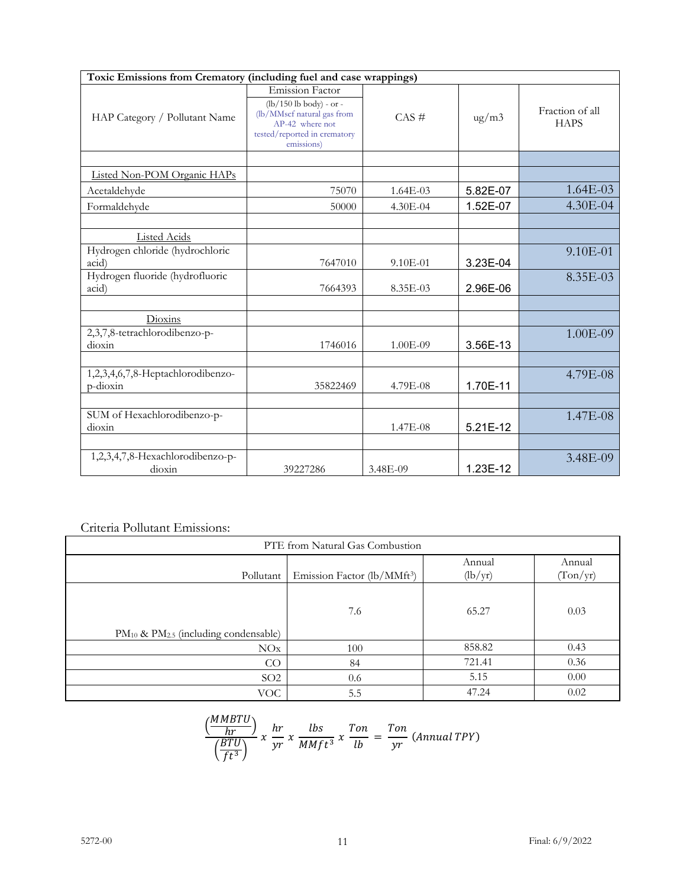| Toxic Emissions from Crematory (including fuel and case wrappings) |                                                                                                                                                    |              |                    |                                |
|--------------------------------------------------------------------|----------------------------------------------------------------------------------------------------------------------------------------------------|--------------|--------------------|--------------------------------|
| HAP Category / Pollutant Name                                      | <b>Emission Factor</b><br>$(lb/150 lb$ body) - or -<br>(lb/MMscf natural gas from<br>AP-42 where not<br>tested/reported in crematory<br>emissions) | $CAS \#$     | $\frac{u}{g}}{m3}$ | Fraction of all<br><b>HAPS</b> |
|                                                                    |                                                                                                                                                    |              |                    |                                |
| Listed Non-POM Organic HAPs                                        |                                                                                                                                                    |              |                    |                                |
| Acetaldehyde                                                       | 75070                                                                                                                                              | $1.64E-03$   | 5.82E-07           | $1.64E-03$                     |
| Formaldehyde                                                       | 50000                                                                                                                                              | $4.30E-04$   | 1.52E-07           | $4.30E-04$                     |
|                                                                    |                                                                                                                                                    |              |                    |                                |
| <b>Listed Acids</b>                                                |                                                                                                                                                    |              |                    |                                |
| Hydrogen chloride (hydrochloric<br>acid)                           | 7647010                                                                                                                                            | $9.10E - 01$ | 3.23E-04           | $9.10E-01$                     |
| Hydrogen fluoride (hydrofluoric<br>acid)                           | 7664393                                                                                                                                            | 8.35E-03     | 2.96E-06           | 8.35E-03                       |
|                                                                    |                                                                                                                                                    |              |                    |                                |
| Dioxins                                                            |                                                                                                                                                    |              |                    |                                |
| 2,3,7,8-tetrachlorodibenzo-p-<br>dioxin                            | 1746016                                                                                                                                            | 1.00E-09     | 3.56E-13           | $1.00E-09$                     |
|                                                                    |                                                                                                                                                    |              |                    |                                |
| 1,2,3,4,6,7,8-Heptachlorodibenzo-<br>p-dioxin                      | 35822469                                                                                                                                           | 4.79E-08     | 1.70E-11           | 4.79E-08                       |
|                                                                    |                                                                                                                                                    |              |                    |                                |
| SUM of Hexachlorodibenzo-p-<br>dioxin                              |                                                                                                                                                    | $1.47E - 08$ | 5.21E-12           | $1.47E-08$                     |
|                                                                    |                                                                                                                                                    |              |                    |                                |
| 1,2,3,4,7,8-Hexachlorodibenzo-p-<br>dioxin                         | 39227286                                                                                                                                           | 3.48E-09     | 1.23E-12           | 3.48E-09                       |

# Criteria Pollutant Emissions:

| PTE from Natural Gas Combustion                |                                         |                   |                    |  |
|------------------------------------------------|-----------------------------------------|-------------------|--------------------|--|
| Pollutant                                      | Emission Factor (lb/MMft <sup>3</sup> ) | Annual<br>(lb/yr) | Annual<br>(Ton/yr) |  |
| $PM_{10}$ & $PM_{2.5}$ (including condensable) | 7.6                                     | 65.27             | 0.03               |  |
| NOx                                            | 100                                     | 858.82            | 0.43               |  |
| CO                                             | 84                                      | 721.41            | 0.36               |  |
| SO <sub>2</sub>                                | 0.6                                     | 5.15              | 0.00               |  |
| VOC.                                           | 5.5                                     | 47.24             | 0.02               |  |

$$
\frac{\left(\frac{MMBTU}{hr}\right)}{\left(\frac{BTU}{ft^3}\right)} x \frac{hr}{yr} x \frac{lbs}{MMft^3} x \frac{Ton}{lb} = \frac{Ton}{yr} (Annual TPY)
$$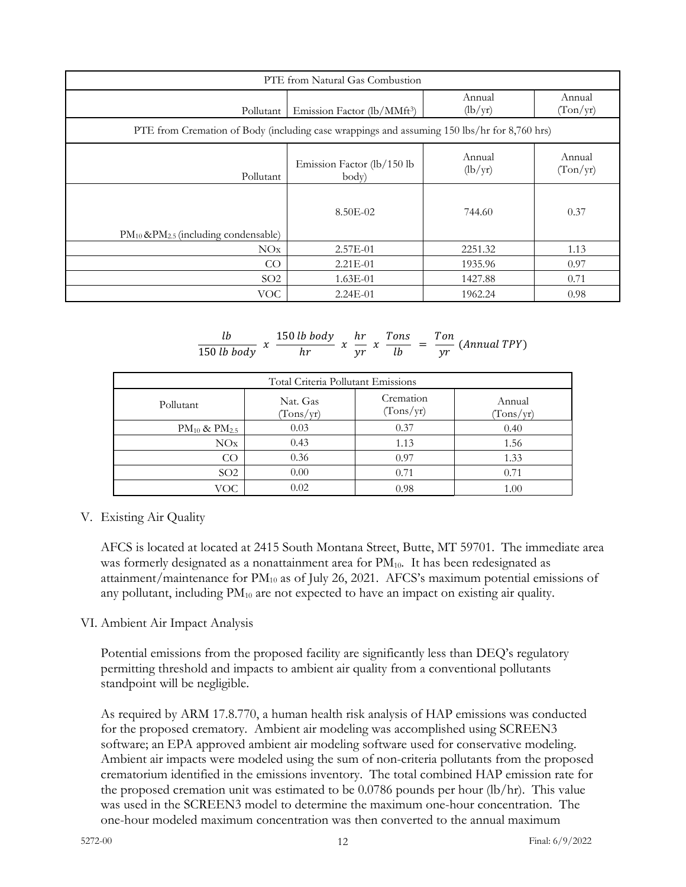| PTE from Natural Gas Combustion                                                             |                                         |                             |                    |  |  |
|---------------------------------------------------------------------------------------------|-----------------------------------------|-----------------------------|--------------------|--|--|
| Pollutant                                                                                   | Emission Factor (lb/MMft <sup>3</sup> ) | Annual<br>$(\frac{lb}{yr})$ | Annual<br>(Ton/yr) |  |  |
| PTE from Cremation of Body (including case wrappings and assuming 150 lbs/hr for 8,760 hrs) |                                         |                             |                    |  |  |
| Pollutant                                                                                   | Emission Factor (lb/150 lb<br>body)     | Annual<br>(lb/yr)           | Annual<br>(Ton/yr) |  |  |
|                                                                                             | 8.50E-02                                | 744.60                      | 0.37               |  |  |
| $PM_{10}$ &P $M_{2.5}$ (including condensable)<br>NOx                                       | $2.57E-01$                              | 2251.32                     | 1.13               |  |  |
| CO                                                                                          | $2.21E-01$                              | 1935.96                     | 0.97               |  |  |
| SO <sub>2</sub>                                                                             | $1.63E-01$                              | 1427.88                     | 0.71               |  |  |
| <b>VOC</b>                                                                                  | $2.24E-01$                              | 1962.24                     | 0.98               |  |  |

$$
\frac{lb}{150 lb \text{ body}} \times \frac{150 lb \text{ body}}{hr} \times \frac{hr}{yr} \times \frac{Tons}{lb} = \frac{Ton}{yr} \text{ (Annual TPY)}
$$

| Total Criteria Pollutant Emissions |                       |                        |                     |  |
|------------------------------------|-----------------------|------------------------|---------------------|--|
| Pollutant                          | Nat. Gas<br>(Tons/yr) | Cremation<br>(Tons/yr) | Annual<br>(Tons/yr) |  |
| $PM_{10}$ & $PM_{2.5}$             | 0.03                  | 0.37                   | 0.40                |  |
| NOx                                | 0.43                  | 1.13                   | 1.56                |  |
| CO                                 | 0.36                  | 0.97                   | 1.33                |  |
| SO <sub>2</sub>                    | 0.00                  | 0.71                   | 0.71                |  |
| VOC                                | 0.02                  | 0.98                   | 1.00                |  |

#### V. Existing Air Quality

AFCS is located at located at 2415 South Montana Street, Butte, MT 59701. The immediate area was formerly designated as a nonattainment area for  $PM_{10}$ . It has been redesignated as attainment/maintenance for  $PM_{10}$  as of July 26, 2021. AFCS's maximum potential emissions of any pollutant, including  $PM_{10}$  are not expected to have an impact on existing air quality.

#### VI. Ambient Air Impact Analysis

Potential emissions from the proposed facility are significantly less than DEQ's regulatory permitting threshold and impacts to ambient air quality from a conventional pollutants standpoint will be negligible.

As required by ARM 17.8.770, a human health risk analysis of HAP emissions was conducted for the proposed crematory. Ambient air modeling was accomplished using SCREEN3 software; an EPA approved ambient air modeling software used for conservative modeling. Ambient air impacts were modeled using the sum of non-criteria pollutants from the proposed crematorium identified in the emissions inventory. The total combined HAP emission rate for the proposed cremation unit was estimated to be  $0.0786$  pounds per hour (lb/hr). This value was used in the SCREEN3 model to determine the maximum one-hour concentration. The one-hour modeled maximum concentration was then converted to the annual maximum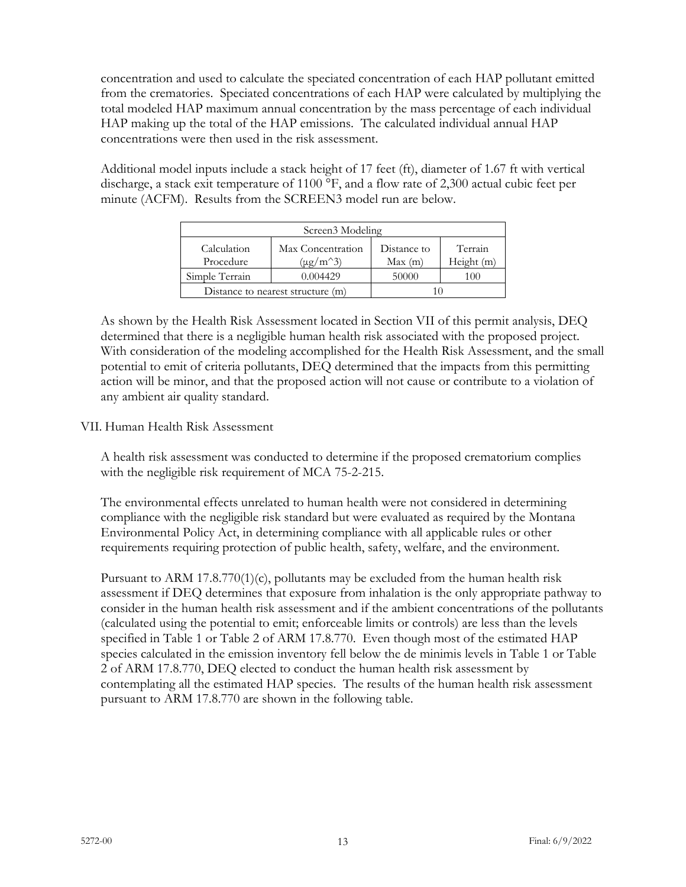concentration and used to calculate the speciated concentration of each HAP pollutant emitted from the crematories. Speciated concentrations of each HAP were calculated by multiplying the total modeled HAP maximum annual concentration by the mass percentage of each individual HAP making up the total of the HAP emissions. The calculated individual annual HAP concentrations were then used in the risk assessment.

Additional model inputs include a stack height of 17 feet (ft), diameter of 1.67 ft with vertical discharge, a stack exit temperature of 1100 °F, and a flow rate of 2,300 actual cubic feet per minute (ACFM). Results from the SCREEN3 model run are below.

| Screen <sub>3</sub> Modeling |                                    |                       |                       |  |  |
|------------------------------|------------------------------------|-----------------------|-----------------------|--|--|
| Calculation<br>Procedure     | Max Concentration<br>$(\mu g/m^3)$ | Distance to<br>Max(m) | Terrain<br>Height (m) |  |  |
| Simple Terrain               | 0.004429                           | 50000                 | (1)                   |  |  |
|                              | Distance to nearest structure (m)  |                       |                       |  |  |

As shown by the Health Risk Assessment located in Section VII of this permit analysis, DEQ determined that there is a negligible human health risk associated with the proposed project. With consideration of the modeling accomplished for the Health Risk Assessment, and the small potential to emit of criteria pollutants, DEQ determined that the impacts from this permitting action will be minor, and that the proposed action will not cause or contribute to a violation of any ambient air quality standard.

# VII. Human Health Risk Assessment

A health risk assessment was conducted to determine if the proposed crematorium complies with the negligible risk requirement of MCA 75-2-215.

The environmental effects unrelated to human health were not considered in determining compliance with the negligible risk standard but were evaluated as required by the Montana Environmental Policy Act, in determining compliance with all applicable rules or other requirements requiring protection of public health, safety, welfare, and the environment.

Pursuant to ARM  $17.8.770(1)(c)$ , pollutants may be excluded from the human health risk assessment if DEQ determines that exposure from inhalation is the only appropriate pathway to consider in the human health risk assessment and if the ambient concentrations of the pollutants (calculated using the potential to emit; enforceable limits or controls) are less than the levels specified in Table 1 or Table 2 of ARM 17.8.770. Even though most of the estimated HAP species calculated in the emission inventory fell below the de minimis levels in Table 1 or Table 2 of ARM 17.8.770, DEQ elected to conduct the human health risk assessment by contemplating all the estimated HAP species. The results of the human health risk assessment pursuant to ARM 17.8.770 are shown in the following table.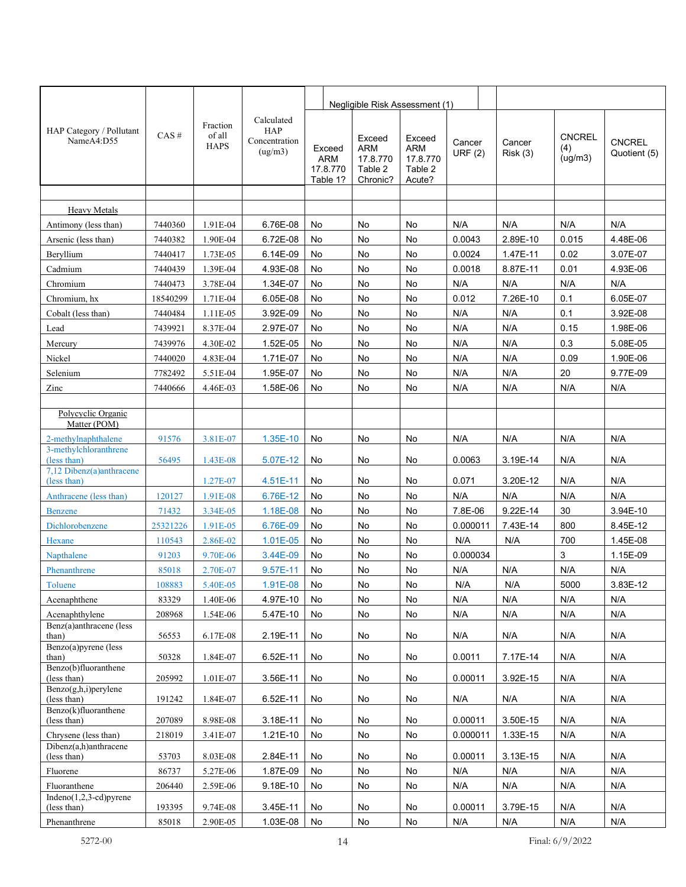|                                           |          |                                   |                                                      |          |                                              | Negligible Risk Assessment (1)                          |                                                |                  |                    |                                 |                               |
|-------------------------------------------|----------|-----------------------------------|------------------------------------------------------|----------|----------------------------------------------|---------------------------------------------------------|------------------------------------------------|------------------|--------------------|---------------------------------|-------------------------------|
| HAP Category / Pollutant<br>NameA4:D55    | CAS#     | Fraction<br>of all<br><b>HAPS</b> | Calculated<br><b>HAP</b><br>Concentration<br>(ug/m3) |          | Exceed<br><b>ARM</b><br>17.8.770<br>Table 1? | Exceed<br><b>ARM</b><br>17.8.770<br>Table 2<br>Chronic? | Exceed<br>ARM<br>17.8.770<br>Table 2<br>Acute? | Cancer<br>URF(2) | Cancer<br>Risk (3) | <b>CNCREL</b><br>(4)<br>(ug/m3) | <b>CNCREL</b><br>Quotient (5) |
|                                           |          |                                   |                                                      |          |                                              |                                                         |                                                |                  |                    |                                 |                               |
| <b>Heavy Metals</b>                       |          |                                   |                                                      |          |                                              |                                                         |                                                |                  |                    |                                 |                               |
| Antimony (less than)                      | 7440360  | 1.91E-04                          | 6.76E-08                                             | No       |                                              | No                                                      | No                                             | N/A              | N/A                | N/A                             | N/A                           |
| Arsenic (less than)                       | 7440382  | 1.90E-04                          | 6.72E-08                                             | No       |                                              | No                                                      | No                                             | 0.0043           | 2.89E-10           | 0.015                           | 4.48E-06                      |
| Beryllium                                 | 7440417  | 1.73E-05                          | 6.14E-09                                             | No       |                                              | No                                                      | No                                             | 0.0024           | 1.47E-11           | 0.02                            | 3.07E-07                      |
| Cadmium                                   | 7440439  | 1.39E-04                          | 4.93E-08                                             | No       |                                              | No                                                      | No                                             | 0.0018           | 8.87E-11           | 0.01                            | 4.93E-06                      |
| Chromium                                  | 7440473  | 3.78E-04                          | 1.34E-07                                             | No       |                                              | No                                                      | No                                             | N/A              | N/A                | N/A                             | N/A                           |
| Chromium, hx                              | 18540299 | 1.71E-04                          | 6.05E-08                                             | No       |                                              | No                                                      | No                                             | 0.012            | 7.26E-10           | 0.1                             | 6.05E-07                      |
| Cobalt (less than)                        | 7440484  | 1.11E-05                          | 3.92E-09                                             | No       |                                              | No                                                      | No                                             | N/A              | N/A                | 0.1                             | 3.92E-08                      |
| Lead                                      | 7439921  | 8.37E-04                          | 2.97E-07                                             | No       |                                              | No                                                      | No                                             | N/A              | N/A                | 0.15                            | 1.98E-06                      |
| Mercury                                   | 7439976  | 4.30E-02                          | 1.52E-05                                             | No       |                                              | No                                                      | No                                             | N/A              | N/A                | 0.3                             | 5.08E-05                      |
| Nickel                                    | 7440020  | 4.83E-04                          | 1.71E-07                                             | No       |                                              | No                                                      | No                                             | N/A              | N/A                | 0.09                            | 1.90E-06                      |
| Selenium                                  | 7782492  | 5.51E-04                          | 1.95E-07                                             | No       |                                              | No                                                      | No                                             | N/A              | N/A                | 20                              | 9.77E-09                      |
| Zinc                                      | 7440666  | 4.46E-03                          | 1.58E-06                                             | No       |                                              | No                                                      | No                                             | N/A              | N/A                | N/A                             | N/A                           |
|                                           |          |                                   |                                                      |          |                                              |                                                         |                                                |                  |                    |                                 |                               |
| Polycyclic Organic<br>Matter (POM)        |          |                                   |                                                      |          |                                              |                                                         |                                                |                  |                    |                                 |                               |
| 2-methylnaphthalene                       | 91576    | 3.81E-07                          | 1.35E-10                                             | No       |                                              | No                                                      | No                                             | N/A              | N/A                | N/A                             | N/A                           |
| 3-methylchloranthrene<br>(less than)      | 56495    |                                   | 5.07E-12                                             | No       |                                              | No                                                      | No                                             | 0.0063           | 3.19E-14           | N/A                             | N/A                           |
| 7,12 Dibenz(a)anthracene<br>(less than)   |          | 1.43E-08<br>1.27E-07              | 4.51E-11                                             | No       |                                              | No                                                      | No                                             | 0.071            | 3.20E-12           | N/A                             | N/A                           |
| Anthracene (less than)                    | 120127   | 1.91E-08                          | 6.76E-12                                             | No       |                                              | No                                                      | No                                             | N/A              | N/A                | N/A                             | N/A                           |
| <b>Benzene</b>                            | 71432    | 3.34E-05                          | 1.18E-08                                             | No       |                                              | No                                                      | No                                             | 7.8E-06          | 9.22E-14           | 30                              | 3.94E-10                      |
| Dichlorobenzene                           | 25321226 | 1.91E-05                          | 6.76E-09                                             | No       |                                              | No                                                      | No                                             | 0.000011         | 7.43E-14           | 800                             | 8.45E-12                      |
| Hexane                                    | 110543   | 2.86E-02                          | 1.01E-05                                             | No       |                                              | No                                                      | No                                             | N/A              | N/A                | 700                             | 1.45E-08                      |
| Napthalene                                | 91203    | 9.70E-06                          | 3.44E-09                                             | No       |                                              | No                                                      | No                                             | 0.000034         |                    | 3                               | 1.15E-09                      |
| Phenanthrene                              | 85018    | 2.70E-07                          | 9.57E-11                                             | No       |                                              | No                                                      | No                                             | N/A              | N/A                | N/A                             | N/A                           |
|                                           | 108883   | 5.40E-05                          | 1.91E-08 No                                          |          |                                              | No                                                      | No                                             | N/A              | N/A                | 5000                            | 3.83E-12                      |
| Toluene                                   |          |                                   |                                                      |          |                                              |                                                         |                                                | N/A              | N/A                | N/A                             |                               |
| Acenaphthene                              | 83329    | 1.40E-06<br>1.54E-06              | 4.97E-10                                             | No       |                                              | No                                                      | No                                             |                  | N/A                | N/A                             | N/A<br>N/A                    |
| Acenaphthylene<br>Benz(a)anthracene (less | 208968   |                                   | 5.47E-10                                             | No       |                                              | No                                                      | No                                             | N/A              |                    |                                 |                               |
| than)                                     | 56553    | 6.17E-08                          | 2.19E-11                                             | No       |                                              | No                                                      | No                                             | N/A              | N/A                | N/A                             | N/A                           |
| Benzo(a)pyrene (less<br>than)             | 50328    | 1.84E-07                          | 6.52E-11                                             | No       |                                              | No                                                      | No                                             | 0.0011           | 7.17E-14           | N/A                             | N/A                           |
| Benzo(b)fluoranthene<br>(less than)       | 205992   | 1.01E-07                          | 3.56E-11                                             | No       |                                              | No                                                      | No                                             | 0.00011          | 3.92E-15           | N/A                             | N/A                           |
| Benzo(g,h,i)perylene                      |          |                                   |                                                      |          |                                              |                                                         |                                                |                  |                    |                                 |                               |
| (less than)                               | 191242   | 1.84E-07                          | 6.52E-11                                             | No       |                                              | No                                                      | No                                             | N/A              | N/A                | N/A                             | N/A                           |
| Benzo(k)fluoranthene<br>(less than)       | 207089   | 8.98E-08                          | 3.18E-11                                             | No       |                                              | No                                                      | No                                             | 0.00011          | 3.50E-15           | N/A                             | N/A                           |
| Chrysene (less than)                      | 218019   | 3.41E-07                          | 1.21E-10                                             | No       |                                              | No                                                      | No                                             | 0.000011         | 1.33E-15           | N/A                             | N/A                           |
| Dibenz(a,h)anthracene<br>(less than)      | 53703    | 8.03E-08                          | 2.84E-11                                             | No       |                                              | No                                                      | No                                             | 0.00011          | 3.13E-15           | N/A                             | N/A                           |
| Fluorene                                  | 86737    | 5.27E-06                          | 1.87E-09                                             | No       |                                              | No                                                      | No                                             | N/A              | N/A                | N/A                             | N/A                           |
| Fluoranthene                              | 206440   | 2.59E-06                          | 9.18E-10                                             | No       |                                              | No                                                      | No                                             | N/A              | N/A                | N/A                             | N/A                           |
| Indeno $(1,2,3$ -cd)pyrene                |          |                                   |                                                      |          |                                              |                                                         |                                                |                  |                    |                                 |                               |
| (less than)<br>Phenanthrene               | 193395   | 9.74E-08                          | 3.45E-11<br>1.03E-08                                 | No<br>No |                                              | No<br>No                                                | No                                             | 0.00011          | 3.79E-15<br>N/A    | N/A<br>N/A                      | N/A<br>N/A                    |
|                                           | 85018    | 2.90E-05                          |                                                      |          |                                              |                                                         | No                                             | N/A              |                    |                                 |                               |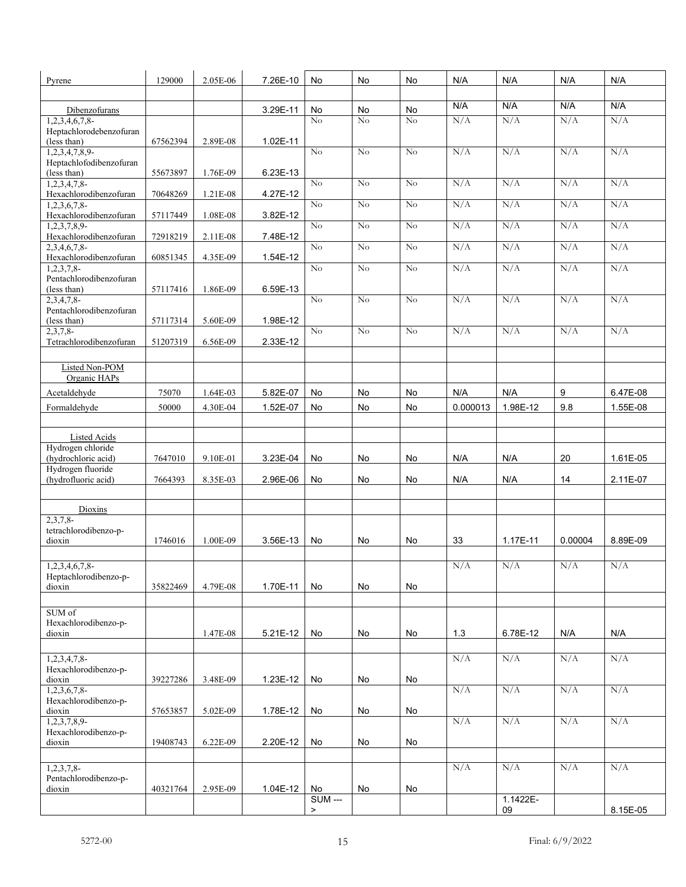| Pyrene                                             | 129000   | 2.05E-06 | 7.26E-10 | No                     | No       | No            | N/A        | N/A            | N/A        | N/A        |
|----------------------------------------------------|----------|----------|----------|------------------------|----------|---------------|------------|----------------|------------|------------|
|                                                    |          |          |          |                        |          |               |            |                |            |            |
| Dibenzofurans                                      |          |          | 3.29E-11 | No<br>No               | No<br>No | No<br>No      | N/A<br>N/A | N/A<br>N/A     | N/A<br>N/A | N/A<br>N/A |
| $1,2,3,4,6,7,8$ -<br>Heptachlorodebenzofuran       |          |          |          |                        |          |               |            |                |            |            |
| (less than)                                        | 67562394 | 2.89E-08 | 1.02E-11 |                        |          |               |            |                |            |            |
| $1,2,3,4,7,8,9-$<br>Heptachlofodibenzofuran        |          |          |          | $\rm No$               | No       | No            | N/A        | N/A            | N/A        | N/A        |
| (less than)                                        | 55673897 | 1.76E-09 | 6.23E-13 |                        |          |               |            |                |            |            |
| 1,2,3,4,7,8                                        |          |          |          | No                     | No       | No            | N/A        | N/A            | N/A        | N/A        |
| Hexachlorodibenzofuran<br>$1,2,3,\overline{6,7,8}$ | 70648269 | 1.21E-08 | 4.27E-12 | No                     | No       | No            | N/A        | N/A            | N/A        | N/A        |
| Hexachlorodibenzofuran                             | 57117449 | 1.08E-08 | 3.82E-12 |                        |          |               |            |                |            |            |
| $1,2,3,7,8,9-$<br>Hexachlorodibenzofuran           | 72918219 | 2.11E-08 | 7.48E-12 | No                     | No       | $\rm No$      | N/A        | N/A            | N/A        | N/A        |
| 2,3,4,6,7,8                                        |          |          |          | No                     | No       | No            | N/A        | N/A            | N/A        | N/A        |
| Hexachlorodibenzofuran                             | 60851345 | 4.35E-09 | 1.54E-12 |                        |          |               |            |                |            |            |
| 1,2,3,7,8<br>Pentachlorodibenzofuran               |          |          |          | No                     | No       | $\mathrm{No}$ | N/A        | N/A            | N/A        | N/A        |
| (less than)                                        | 57117416 | 1.86E-09 | 6.59E-13 |                        |          |               |            |                |            |            |
| $2,3,4,7,8$ -<br>Pentachlorodibenzofuran           |          |          |          | No                     | No       | No            | N/A        | N/A            | N/A        | N/A        |
| (less than)                                        | 57117314 | 5.60E-09 | 1.98E-12 |                        |          |               |            |                |            |            |
| $2,3,7,8-$                                         |          |          |          | N <sub>o</sub>         | No       | No            | N/A        | N/A            | N/A        | N/A        |
| Tetrachlorodibenzofuran                            | 51207319 | 6.56E-09 | 2.33E-12 |                        |          |               |            |                |            |            |
| Listed Non-POM                                     |          |          |          |                        |          |               |            |                |            |            |
| Organic HAPs                                       |          |          |          |                        |          |               |            |                |            |            |
| Acetaldehyde                                       | 75070    | 1.64E-03 | 5.82E-07 | No                     | No       | No            | N/A        | N/A            | 9          | 6.47E-08   |
| Formaldehyde                                       | 50000    | 4.30E-04 | 1.52E-07 | No                     | No       | No            | 0.000013   | 1.98E-12       | 9.8        | 1.55E-08   |
|                                                    |          |          |          |                        |          |               |            |                |            |            |
| Listed Acids                                       |          |          |          |                        |          |               |            |                |            |            |
| Hydrogen chloride                                  |          |          |          |                        |          |               |            |                |            |            |
| (hydrochloric acid)<br>Hydrogen fluoride           | 7647010  | 9.10E-01 | 3.23E-04 | No                     | No       | No            | N/A        | N/A            | 20         | 1.61E-05   |
| (hydrofluoric acid)                                | 7664393  | 8.35E-03 | 2.96E-06 | No                     | No       | No            | N/A        | N/A            | 14         | 2.11E-07   |
|                                                    |          |          |          |                        |          |               |            |                |            |            |
| Dioxins                                            |          |          |          |                        |          |               |            |                |            |            |
| $2,3,7,8-$<br>tetrachlorodibenzo-p-                |          |          |          |                        |          |               |            |                |            |            |
| dioxin                                             | 1746016  | 1.00E-09 | 3.56E-13 | No                     | No       | No            | 33         |                |            | 8.89E-09   |
|                                                    |          |          |          |                        |          |               |            | 1.17E-11       | 0.00004    |            |
| 1,2,3,4,6,7,8                                      |          |          |          |                        |          |               |            |                |            |            |
| Heptachlorodibenzo-p-                              |          |          |          |                        |          |               | N/A        | N/A            | N/A        | N/A        |
| dioxin                                             |          |          |          | No                     |          | No            |            |                |            |            |
|                                                    | 35822469 | 4.79E-08 | 1.70E-11 |                        | No       |               |            |                |            |            |
| SUM of                                             |          |          |          |                        |          |               |            |                |            |            |
| Hexachlorodibenzo-p-                               |          |          |          |                        |          |               |            |                |            |            |
| dioxin                                             |          | 1.47E-08 | 5.21E-12 | No                     | No       | No            | 1.3        | 6.78E-12       | N/A        | N/A        |
| $1,2,3,4,7,8$ -                                    |          |          |          |                        |          |               | N/A        | N/A            | N/A        | N/A        |
| Hexachlorodibenzo-p-                               |          |          |          |                        |          |               |            |                |            |            |
| dioxin                                             | 39227286 | 3.48E-09 | 1.23E-12 | No                     | No       | No            |            |                |            |            |
| $1,2,3,6,7,8$ -<br>Hexachlorodibenzo-p-            |          |          |          |                        |          |               | N/A        | N/A            | N/A        | N/A        |
| dioxin                                             | 57653857 | 5.02E-09 | 1.78E-12 | No                     | No       | No            |            |                |            |            |
| $1,2,3,7,8,9-$<br>Hexachlorodibenzo-p-             |          |          |          |                        |          |               | N/A        | N/A            | N/A        | N/A        |
| dioxin                                             | 19408743 | 6.22E-09 | 2.20E-12 | No                     | No       | No            |            |                |            |            |
|                                                    |          |          |          |                        |          |               |            |                |            |            |
| $1,2,3,7,8-$                                       |          |          |          |                        |          |               | N/A        | N/A            | N/A        | N/A        |
| Pentachlorodibenzo-p-<br>dioxin                    | 40321764 | 2.95E-09 | 1.04E-12 | No                     | No       | No            |            |                |            |            |
|                                                    |          |          |          | <b>SUM ---</b><br>$\,$ |          |               |            | 1.1422E-<br>09 |            | 8.15E-05   |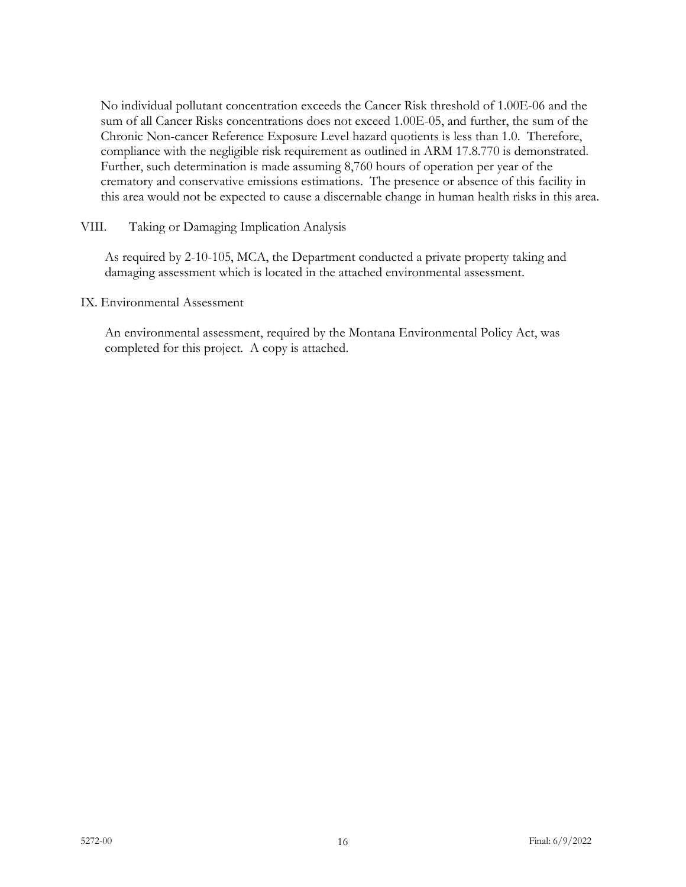No individual pollutant concentration exceeds the Cancer Risk threshold of 1.00E-06 and the sum of all Cancer Risks concentrations does not exceed 1.00E-05, and further, the sum of the Chronic Non-cancer Reference Exposure Level hazard quotients is less than 1.0. Therefore, compliance with the negligible risk requirement as outlined in ARM 17.8.770 is demonstrated. Further, such determination is made assuming 8,760 hours of operation per year of the crematory and conservative emissions estimations. The presence or absence of this facility in this area would not be expected to cause a discernable change in human health risks in this area.

VIII. Taking or Damaging Implication Analysis

As required by 2-10-105, MCA, the Department conducted a private property taking and damaging assessment which is located in the attached environmental assessment.

IX. Environmental Assessment

An environmental assessment, required by the Montana Environmental Policy Act, was completed for this project. A copy is attached.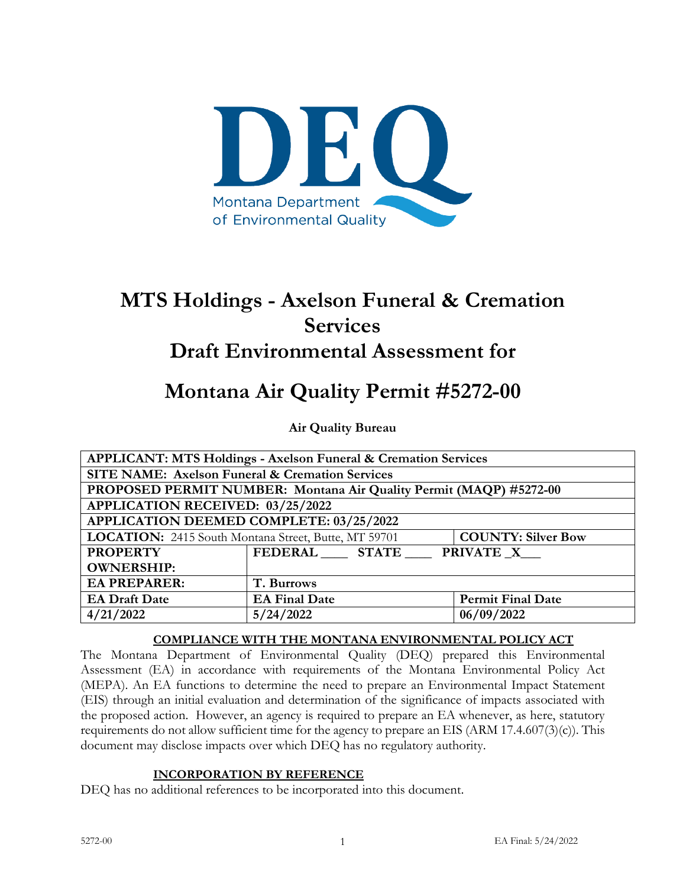

# **MTS Holdings - Axelson Funeral & Cremation Services**

# **Draft Environmental Assessment for**

# **Montana Air Quality Permit #5272-00**

**Air Quality Bureau**

| <b>APPLICANT: MTS Holdings - Axelson Funeral &amp; Cremation Services</b> |                                                                    |                           |  |  |  |
|---------------------------------------------------------------------------|--------------------------------------------------------------------|---------------------------|--|--|--|
| <b>SITE NAME: Axelson Funeral &amp; Cremation Services</b>                |                                                                    |                           |  |  |  |
|                                                                           | PROPOSED PERMIT NUMBER: Montana Air Quality Permit (MAQP) #5272-00 |                           |  |  |  |
| <b>APPLICATION RECEIVED: 03/25/2022</b>                                   |                                                                    |                           |  |  |  |
| APPLICATION DEEMED COMPLETE: 03/25/2022                                   |                                                                    |                           |  |  |  |
| LOCATION: 2415 South Montana Street, Butte, MT 59701                      |                                                                    | <b>COUNTY: Silver Bow</b> |  |  |  |
| <b>PROPERTY</b>                                                           | FEDERAL STATE                                                      | PRIVATE X                 |  |  |  |
| <b>OWNERSHIP:</b>                                                         |                                                                    |                           |  |  |  |
| <b>EA PREPARER:</b>                                                       | T. Burrows                                                         |                           |  |  |  |
| <b>EA Draft Date</b>                                                      | <b>EA Final Date</b>                                               | <b>Permit Final Date</b>  |  |  |  |
| 4/21/2022                                                                 | 5/24/2022                                                          | 06/09/2022                |  |  |  |

#### **COMPLIANCE WITH THE MONTANA ENVIRONMENTAL POLICY ACT**

The Montana Department of Environmental Quality (DEQ) prepared this Environmental Assessment (EA) in accordance with requirements of the Montana Environmental Policy Act (MEPA). An EA functions to determine the need to prepare an Environmental Impact Statement (EIS) through an initial evaluation and determination of the significance of impacts associated with the proposed action. However, an agency is required to prepare an EA whenever, as here, statutory requirements do not allow sufficient time for the agency to prepare an EIS (ARM 17.4.607(3)(c)). This document may disclose impacts over which DEQ has no regulatory authority.

#### **INCORPORATION BY REFERENCE**

DEQ has no additional references to be incorporated into this document.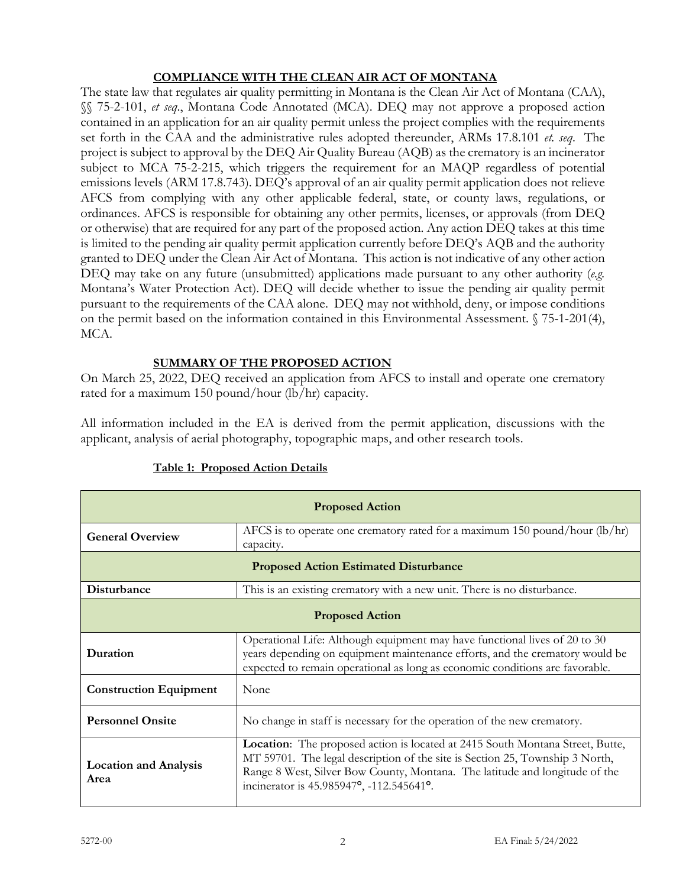# **COMPLIANCE WITH THE CLEAN AIR ACT OF MONTANA**

The state law that regulates air quality permitting in Montana is the Clean Air Act of Montana (CAA), §§ 75-2-101, *et seq*., Montana Code Annotated (MCA). DEQ may not approve a proposed action contained in an application for an air quality permit unless the project complies with the requirements set forth in the CAA and the administrative rules adopted thereunder, ARMs 17.8.101 *et. seq*. The project is subject to approval by the DEQ Air Quality Bureau (AQB) as the crematory is an incinerator subject to MCA 75-2-215, which triggers the requirement for an MAQP regardless of potential emissions levels (ARM 17.8.743). DEQ's approval of an air quality permit application does not relieve AFCS from complying with any other applicable federal, state, or county laws, regulations, or ordinances. AFCS is responsible for obtaining any other permits, licenses, or approvals (from DEQ or otherwise) that are required for any part of the proposed action. Any action DEQ takes at this time is limited to the pending air quality permit application currently before DEQ's AQB and the authority granted to DEQ under the Clean Air Act of Montana. This action is not indicative of any other action DEQ may take on any future (unsubmitted) applications made pursuant to any other authority (*e.g.*  Montana's Water Protection Act). DEQ will decide whether to issue the pending air quality permit pursuant to the requirements of the CAA alone. DEQ may not withhold, deny, or impose conditions on the permit based on the information contained in this Environmental Assessment. § 75-1-201(4), MCA.

#### **SUMMARY OF THE PROPOSED ACTION**

On March 25, 2022, DEQ received an application from AFCS to install and operate one crematory rated for a maximum 150 pound/hour (lb/hr) capacity.

All information included in the EA is derived from the permit application, discussions with the applicant, analysis of aerial photography, topographic maps, and other research tools.

| <b>Proposed Action</b>                       |                                                                                                                                                                                                                                                                                          |  |  |  |
|----------------------------------------------|------------------------------------------------------------------------------------------------------------------------------------------------------------------------------------------------------------------------------------------------------------------------------------------|--|--|--|
| <b>General Overview</b>                      | AFCS is to operate one crematory rated for a maximum 150 pound/hour (lb/hr)<br>capacity.                                                                                                                                                                                                 |  |  |  |
| <b>Proposed Action Estimated Disturbance</b> |                                                                                                                                                                                                                                                                                          |  |  |  |
| Disturbance                                  | This is an existing crematory with a new unit. There is no disturbance.                                                                                                                                                                                                                  |  |  |  |
| <b>Proposed Action</b>                       |                                                                                                                                                                                                                                                                                          |  |  |  |
| Duration                                     | Operational Life: Although equipment may have functional lives of 20 to 30<br>years depending on equipment maintenance efforts, and the crematory would be<br>expected to remain operational as long as economic conditions are favorable.                                               |  |  |  |
| <b>Construction Equipment</b>                | None                                                                                                                                                                                                                                                                                     |  |  |  |
| <b>Personnel Onsite</b>                      | No change in staff is necessary for the operation of the new crematory.                                                                                                                                                                                                                  |  |  |  |
| <b>Location and Analysis</b><br>Area         | Location: The proposed action is located at 2415 South Montana Street, Butte,<br>MT 59701. The legal description of the site is Section 25, Township 3 North,<br>Range 8 West, Silver Bow County, Montana. The latitude and longitude of the<br>incinerator is 45.985947°, -112.545641°. |  |  |  |

# **Table 1: Proposed Action Details**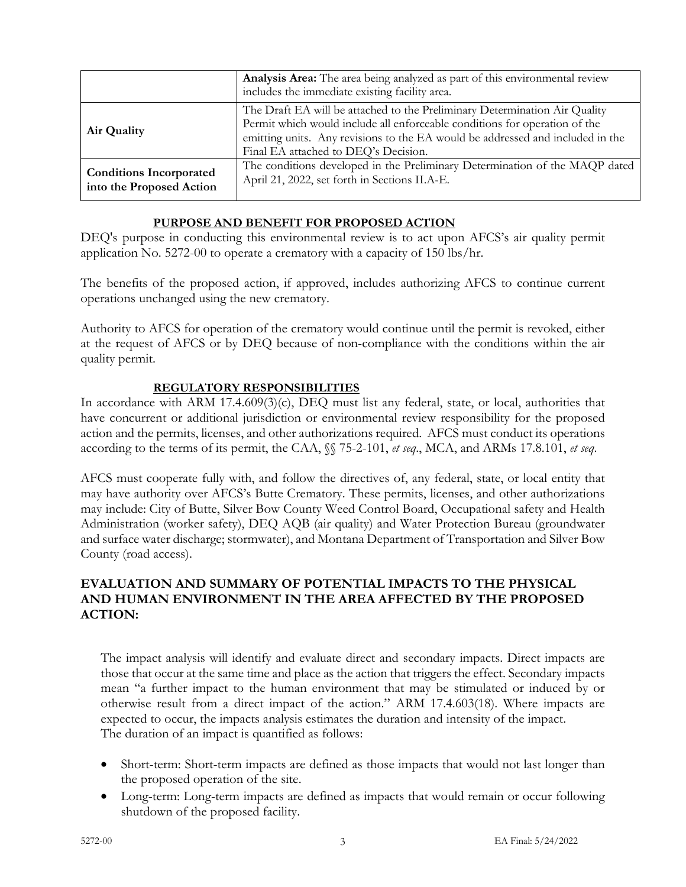|                                                            | Analysis Area: The area being analyzed as part of this environmental review<br>includes the immediate existing facility area.                                                                                                                                                      |
|------------------------------------------------------------|------------------------------------------------------------------------------------------------------------------------------------------------------------------------------------------------------------------------------------------------------------------------------------|
| Air Quality                                                | The Draft EA will be attached to the Preliminary Determination Air Quality<br>Permit which would include all enforceable conditions for operation of the<br>emitting units. Any revisions to the EA would be addressed and included in the<br>Final EA attached to DEQ's Decision. |
| <b>Conditions Incorporated</b><br>into the Proposed Action | The conditions developed in the Preliminary Determination of the MAQP dated<br>April 21, 2022, set forth in Sections II.A-E.                                                                                                                                                       |

# **PURPOSE AND BENEFIT FOR PROPOSED ACTION**

DEQ's purpose in conducting this environmental review is to act upon AFCS's air quality permit application No. 5272-00 to operate a crematory with a capacity of 150 lbs/hr.

The benefits of the proposed action, if approved, includes authorizing AFCS to continue current operations unchanged using the new crematory.

Authority to AFCS for operation of the crematory would continue until the permit is revoked, either at the request of AFCS or by DEQ because of non-compliance with the conditions within the air quality permit.

# **REGULATORY RESPONSIBILITIES**

In accordance with ARM 17.4.609(3)(c), DEQ must list any federal, state, or local, authorities that have concurrent or additional jurisdiction or environmental review responsibility for the proposed action and the permits, licenses, and other authorizations required. AFCS must conduct its operations according to the terms of its permit, the CAA, §§ 75-2-101, *et seq*., MCA, and ARMs 17.8.101, *et seq*.

AFCS must cooperate fully with, and follow the directives of, any federal, state, or local entity that may have authority over AFCS's Butte Crematory. These permits, licenses, and other authorizations may include: City of Butte, Silver Bow County Weed Control Board, Occupational safety and Health Administration (worker safety), DEQ AQB (air quality) and Water Protection Bureau (groundwater and surface water discharge; stormwater), and Montana Department of Transportation and Silver Bow County (road access).

# **EVALUATION AND SUMMARY OF POTENTIAL IMPACTS TO THE PHYSICAL AND HUMAN ENVIRONMENT IN THE AREA AFFECTED BY THE PROPOSED ACTION:**

The impact analysis will identify and evaluate direct and secondary impacts. Direct impacts are those that occur at the same time and place as the action that triggers the effect. Secondary impacts mean "a further impact to the human environment that may be stimulated or induced by or otherwise result from a direct impact of the action." ARM 17.4.603(18). Where impacts are expected to occur, the impacts analysis estimates the duration and intensity of the impact. The duration of an impact is quantified as follows:

- Short-term: Short-term impacts are defined as those impacts that would not last longer than the proposed operation of the site.
- Long-term: Long-term impacts are defined as impacts that would remain or occur following shutdown of the proposed facility.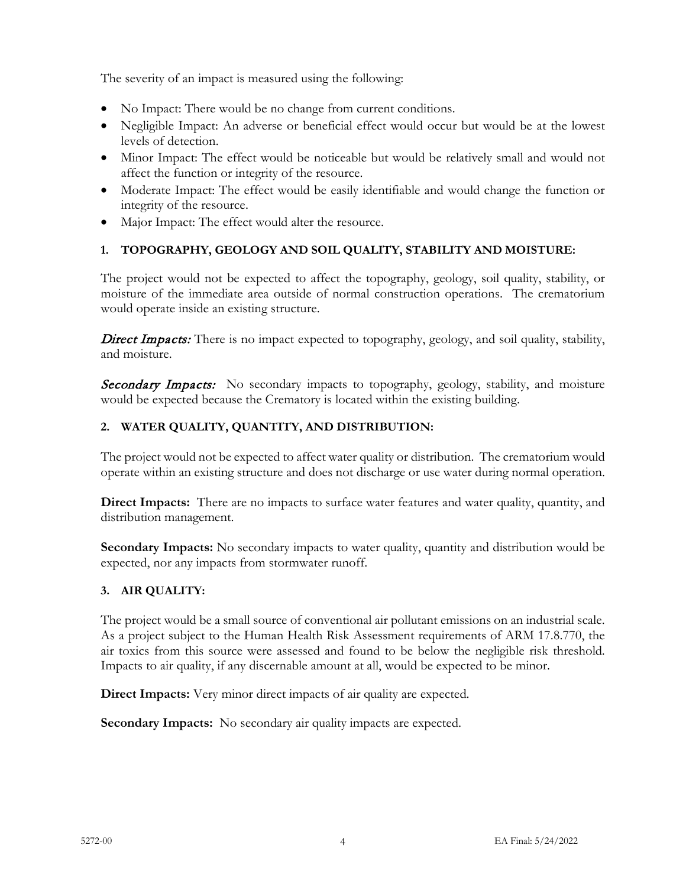The severity of an impact is measured using the following:

- No Impact: There would be no change from current conditions.
- Negligible Impact: An adverse or beneficial effect would occur but would be at the lowest levels of detection.
- Minor Impact: The effect would be noticeable but would be relatively small and would not affect the function or integrity of the resource.
- Moderate Impact: The effect would be easily identifiable and would change the function or integrity of the resource.
- Major Impact: The effect would alter the resource.

# **1. TOPOGRAPHY, GEOLOGY AND SOIL QUALITY, STABILITY AND MOISTURE:**

The project would not be expected to affect the topography, geology, soil quality, stability, or moisture of the immediate area outside of normal construction operations. The crematorium would operate inside an existing structure.

Direct Impacts: There is no impact expected to topography, geology, and soil quality, stability, and moisture.

**Secondary Impacts:** No secondary impacts to topography, geology, stability, and moisture would be expected because the Crematory is located within the existing building.

# **2. WATER QUALITY, QUANTITY, AND DISTRIBUTION:**

The project would not be expected to affect water quality or distribution. The crematorium would operate within an existing structure and does not discharge or use water during normal operation.

**Direct Impacts:** There are no impacts to surface water features and water quality, quantity, and distribution management.

**Secondary Impacts:** No secondary impacts to water quality, quantity and distribution would be expected, nor any impacts from stormwater runoff.

# **3. AIR QUALITY:**

The project would be a small source of conventional air pollutant emissions on an industrial scale. As a project subject to the Human Health Risk Assessment requirements of ARM 17.8.770, the air toxics from this source were assessed and found to be below the negligible risk threshold. Impacts to air quality, if any discernable amount at all, would be expected to be minor.

**Direct Impacts:** Very minor direct impacts of air quality are expected.

**Secondary Impacts:** No secondary air quality impacts are expected.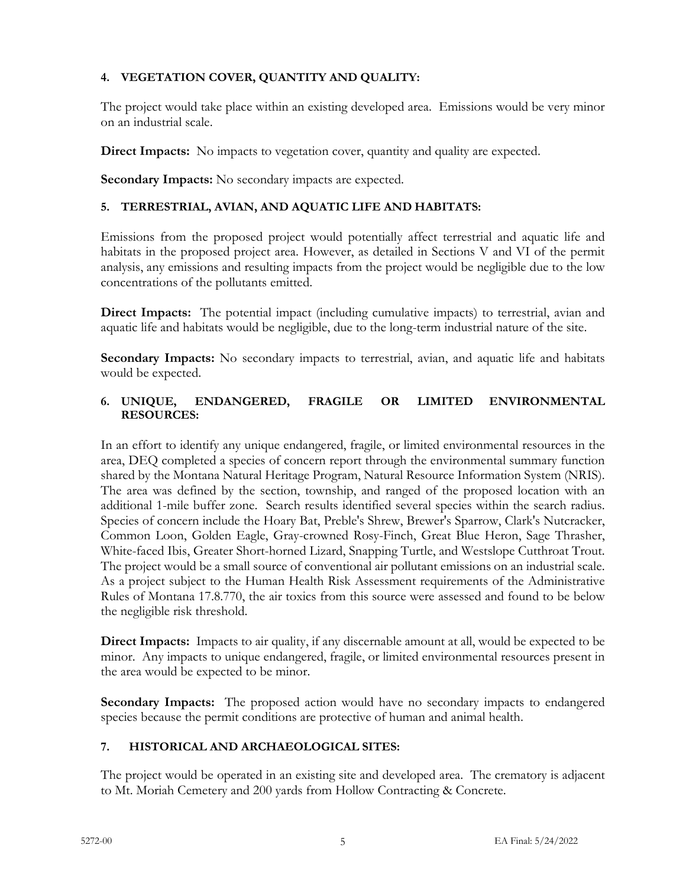# **4. VEGETATION COVER, QUANTITY AND QUALITY:**

The project would take place within an existing developed area. Emissions would be very minor on an industrial scale.

**Direct Impacts:** No impacts to vegetation cover, quantity and quality are expected.

**Secondary Impacts:** No secondary impacts are expected.

# **5. TERRESTRIAL, AVIAN, AND AQUATIC LIFE AND HABITATS:**

Emissions from the proposed project would potentially affect terrestrial and aquatic life and habitats in the proposed project area. However, as detailed in Sections V and VI of the permit analysis, any emissions and resulting impacts from the project would be negligible due to the low concentrations of the pollutants emitted.

**Direct Impacts:** The potential impact (including cumulative impacts) to terrestrial, avian and aquatic life and habitats would be negligible, due to the long-term industrial nature of the site.

**Secondary Impacts:** No secondary impacts to terrestrial, avian, and aquatic life and habitats would be expected.

# **6. UNIQUE, ENDANGERED, FRAGILE OR LIMITED ENVIRONMENTAL RESOURCES:**

In an effort to identify any unique endangered, fragile, or limited environmental resources in the area, DEQ completed a species of concern report through the environmental summary function shared by the Montana Natural Heritage Program, Natural Resource Information System (NRIS). The area was defined by the section, township, and ranged of the proposed location with an additional 1-mile buffer zone. Search results identified several species within the search radius. Species of concern include the Hoary Bat, Preble's Shrew, Brewer's Sparrow, Clark's Nutcracker, Common Loon, Golden Eagle, Gray-crowned Rosy-Finch, Great Blue Heron, Sage Thrasher, White-faced Ibis, Greater Short-horned Lizard, Snapping Turtle, and Westslope Cutthroat Trout. The project would be a small source of conventional air pollutant emissions on an industrial scale. As a project subject to the Human Health Risk Assessment requirements of the Administrative Rules of Montana 17.8.770, the air toxics from this source were assessed and found to be below the negligible risk threshold.

**Direct Impacts:** Impacts to air quality, if any discernable amount at all, would be expected to be minor. Any impacts to unique endangered, fragile, or limited environmental resources present in the area would be expected to be minor.

**Secondary Impacts:** The proposed action would have no secondary impacts to endangered species because the permit conditions are protective of human and animal health.

# **7. HISTORICAL AND ARCHAEOLOGICAL SITES:**

The project would be operated in an existing site and developed area. The crematory is adjacent to Mt. Moriah Cemetery and 200 yards from Hollow Contracting & Concrete.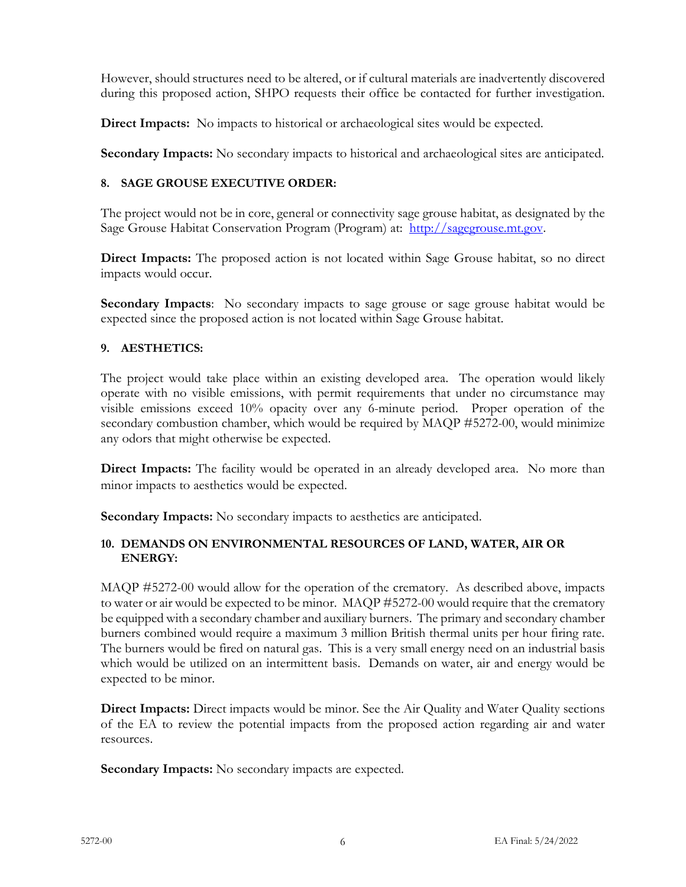However, should structures need to be altered, or if cultural materials are inadvertently discovered during this proposed action, SHPO requests their office be contacted for further investigation.

**Direct Impacts:** No impacts to historical or archaeological sites would be expected.

**Secondary Impacts:** No secondary impacts to historical and archaeological sites are anticipated.

# **8. SAGE GROUSE EXECUTIVE ORDER:**

The project would not be in core, general or connectivity sage grouse habitat, as designated by the Sage Grouse Habitat Conservation Program (Program) at: [http://sagegrouse.mt.gov.](about:blank)

Direct Impacts: The proposed action is not located within Sage Grouse habitat, so no direct impacts would occur.

**Secondary Impacts**: No secondary impacts to sage grouse or sage grouse habitat would be expected since the proposed action is not located within Sage Grouse habitat.

# **9. AESTHETICS:**

The project would take place within an existing developed area. The operation would likely operate with no visible emissions, with permit requirements that under no circumstance may visible emissions exceed 10% opacity over any 6-minute period. Proper operation of the secondary combustion chamber, which would be required by MAQP #5272-00, would minimize any odors that might otherwise be expected.

**Direct Impacts:** The facility would be operated in an already developed area. No more than minor impacts to aesthetics would be expected.

**Secondary Impacts:** No secondary impacts to aesthetics are anticipated.

#### **10. DEMANDS ON ENVIRONMENTAL RESOURCES OF LAND, WATER, AIR OR ENERGY:**

MAQP #5272-00 would allow for the operation of the crematory. As described above, impacts to water or air would be expected to be minor. MAQP #5272-00 would require that the crematory be equipped with a secondary chamber and auxiliary burners. The primary and secondary chamber burners combined would require a maximum 3 million British thermal units per hour firing rate. The burners would be fired on natural gas. This is a very small energy need on an industrial basis which would be utilized on an intermittent basis. Demands on water, air and energy would be expected to be minor.

**Direct Impacts:** Direct impacts would be minor. See the Air Quality and Water Quality sections of the EA to review the potential impacts from the proposed action regarding air and water resources.

**Secondary Impacts:** No secondary impacts are expected.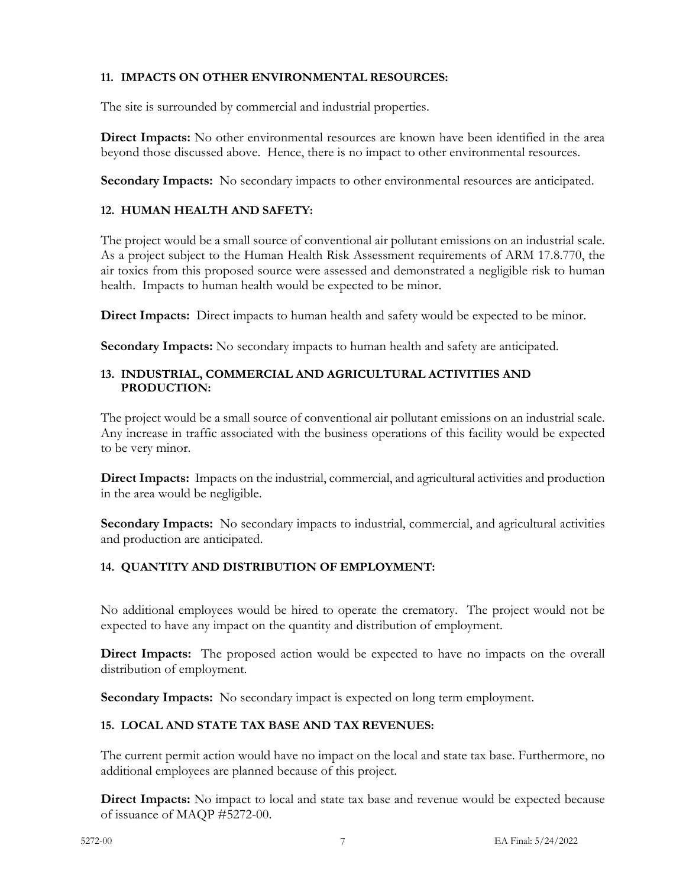# **11. IMPACTS ON OTHER ENVIRONMENTAL RESOURCES:**

The site is surrounded by commercial and industrial properties.

**Direct Impacts:** No other environmental resources are known have been identified in the area beyond those discussed above. Hence, there is no impact to other environmental resources.

**Secondary Impacts:** No secondary impacts to other environmental resources are anticipated.

# **12. HUMAN HEALTH AND SAFETY:**

The project would be a small source of conventional air pollutant emissions on an industrial scale. As a project subject to the Human Health Risk Assessment requirements of ARM 17.8.770, the air toxics from this proposed source were assessed and demonstrated a negligible risk to human health. Impacts to human health would be expected to be minor.

**Direct Impacts:** Direct impacts to human health and safety would be expected to be minor.

**Secondary Impacts:** No secondary impacts to human health and safety are anticipated.

#### **13. INDUSTRIAL, COMMERCIAL AND AGRICULTURAL ACTIVITIES AND PRODUCTION:**

The project would be a small source of conventional air pollutant emissions on an industrial scale. Any increase in traffic associated with the business operations of this facility would be expected to be very minor.

**Direct Impacts:** Impacts on the industrial, commercial, and agricultural activities and production in the area would be negligible.

**Secondary Impacts:** No secondary impacts to industrial, commercial, and agricultural activities and production are anticipated.

# **14. QUANTITY AND DISTRIBUTION OF EMPLOYMENT:**

No additional employees would be hired to operate the crematory. The project would not be expected to have any impact on the quantity and distribution of employment.

**Direct Impacts:** The proposed action would be expected to have no impacts on the overall distribution of employment.

**Secondary Impacts:** No secondary impact is expected on long term employment.

# **15. LOCAL AND STATE TAX BASE AND TAX REVENUES:**

The current permit action would have no impact on the local and state tax base. Furthermore, no additional employees are planned because of this project.

**Direct Impacts:** No impact to local and state tax base and revenue would be expected because of issuance of MAQP #5272-00.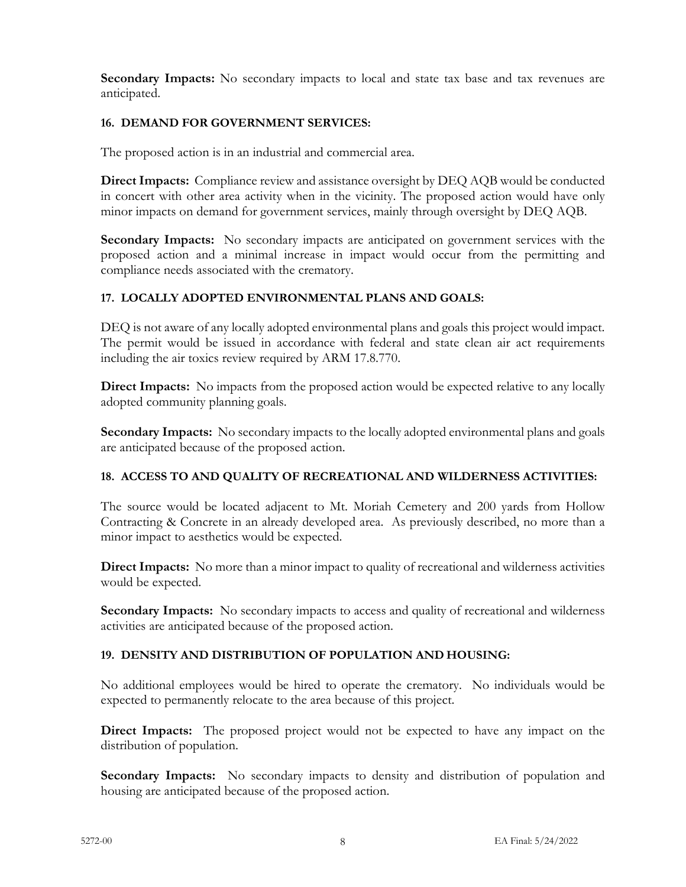**Secondary Impacts:** No secondary impacts to local and state tax base and tax revenues are anticipated.

# **16. DEMAND FOR GOVERNMENT SERVICES:**

The proposed action is in an industrial and commercial area.

**Direct Impacts:** Compliance review and assistance oversight by DEQ AQB would be conducted in concert with other area activity when in the vicinity. The proposed action would have only minor impacts on demand for government services, mainly through oversight by DEQ AQB.

**Secondary Impacts:** No secondary impacts are anticipated on government services with the proposed action and a minimal increase in impact would occur from the permitting and compliance needs associated with the crematory.

#### **17. LOCALLY ADOPTED ENVIRONMENTAL PLANS AND GOALS:**

DEQ is not aware of any locally adopted environmental plans and goals this project would impact. The permit would be issued in accordance with federal and state clean air act requirements including the air toxics review required by ARM 17.8.770.

**Direct Impacts:** No impacts from the proposed action would be expected relative to any locally adopted community planning goals.

**Secondary Impacts:** No secondary impacts to the locally adopted environmental plans and goals are anticipated because of the proposed action.

#### **18. ACCESS TO AND QUALITY OF RECREATIONAL AND WILDERNESS ACTIVITIES:**

The source would be located adjacent to Mt. Moriah Cemetery and 200 yards from Hollow Contracting & Concrete in an already developed area. As previously described, no more than a minor impact to aesthetics would be expected.

**Direct Impacts:** No more than a minor impact to quality of recreational and wilderness activities would be expected.

**Secondary Impacts:** No secondary impacts to access and quality of recreational and wilderness activities are anticipated because of the proposed action.

# **19. DENSITY AND DISTRIBUTION OF POPULATION AND HOUSING:**

No additional employees would be hired to operate the crematory. No individuals would be expected to permanently relocate to the area because of this project.

**Direct Impacts:** The proposed project would not be expected to have any impact on the distribution of population.

**Secondary Impacts:** No secondary impacts to density and distribution of population and housing are anticipated because of the proposed action.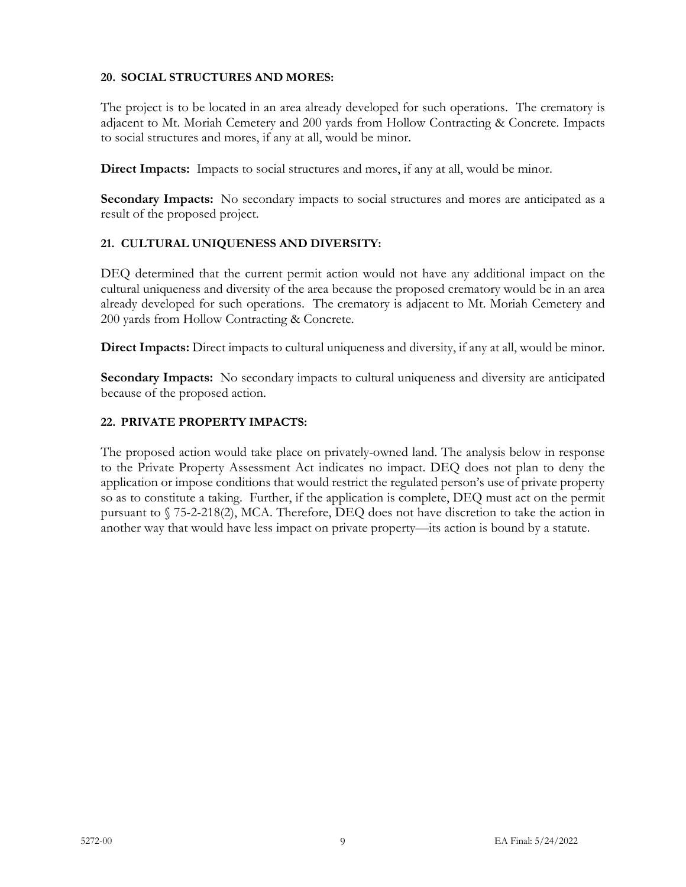# **20. SOCIAL STRUCTURES AND MORES:**

The project is to be located in an area already developed for such operations. The crematory is adjacent to Mt. Moriah Cemetery and 200 yards from Hollow Contracting & Concrete. Impacts to social structures and mores, if any at all, would be minor.

**Direct Impacts:** Impacts to social structures and mores, if any at all, would be minor.

**Secondary Impacts:** No secondary impacts to social structures and mores are anticipated as a result of the proposed project.

# **21. CULTURAL UNIQUENESS AND DIVERSITY:**

DEQ determined that the current permit action would not have any additional impact on the cultural uniqueness and diversity of the area because the proposed crematory would be in an area already developed for such operations. The crematory is adjacent to Mt. Moriah Cemetery and 200 yards from Hollow Contracting & Concrete.

**Direct Impacts:** Direct impacts to cultural uniqueness and diversity, if any at all, would be minor.

**Secondary Impacts:** No secondary impacts to cultural uniqueness and diversity are anticipated because of the proposed action.

#### **22. PRIVATE PROPERTY IMPACTS:**

The proposed action would take place on privately-owned land. The analysis below in response to the Private Property Assessment Act indicates no impact. DEQ does not plan to deny the application or impose conditions that would restrict the regulated person's use of private property so as to constitute a taking. Further, if the application is complete, DEQ must act on the permit pursuant to § 75-2-218(2), MCA. Therefore, DEQ does not have discretion to take the action in another way that would have less impact on private property—its action is bound by a statute.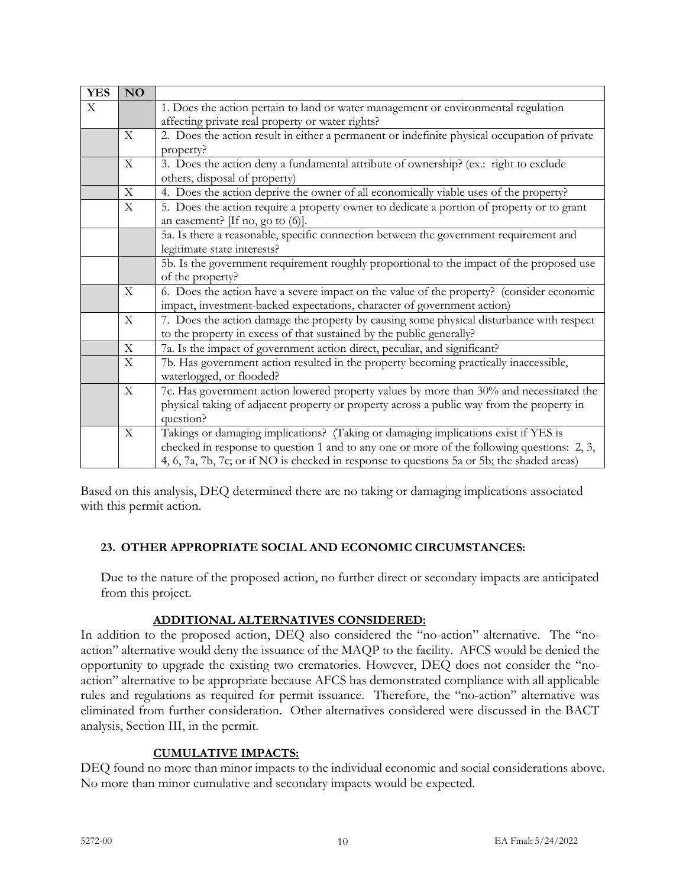| <b>YES</b>        | <b>NO</b>                 |                                                                                                                                                                                                                                                                                |  |
|-------------------|---------------------------|--------------------------------------------------------------------------------------------------------------------------------------------------------------------------------------------------------------------------------------------------------------------------------|--|
| $X_{\mathcal{I}}$ |                           | 1. Does the action pertain to land or water management or environmental regulation<br>affecting private real property or water rights?                                                                                                                                         |  |
|                   | X                         | 2. Does the action result in either a permanent or indefinite physical occupation of private                                                                                                                                                                                   |  |
|                   |                           | property?                                                                                                                                                                                                                                                                      |  |
|                   | $\mathbf{X}$              | 3. Does the action deny a fundamental attribute of ownership? (ex.: right to exclude<br>others, disposal of property)                                                                                                                                                          |  |
|                   | $\mathbf X$               | 4. Does the action deprive the owner of all economically viable uses of the property?                                                                                                                                                                                          |  |
|                   | X                         | 5. Does the action require a property owner to dedicate a portion of property or to grant<br>an easement? [If no, go to (6)].                                                                                                                                                  |  |
|                   |                           | 5a. Is there a reasonable, specific connection between the government requirement and<br>legitimate state interests?                                                                                                                                                           |  |
|                   |                           | 5b. Is the government requirement roughly proportional to the impact of the proposed use<br>of the property?                                                                                                                                                                   |  |
|                   | $\boldsymbol{\mathrm{X}}$ | 6. Does the action have a severe impact on the value of the property? (consider economic<br>impact, investment-backed expectations, character of government action)                                                                                                            |  |
|                   | $\boldsymbol{\mathrm{X}}$ | 7. Does the action damage the property by causing some physical disturbance with respect<br>to the property in excess of that sustained by the public generally?                                                                                                               |  |
|                   | $\mathbf X$               | 7a. Is the impact of government action direct, peculiar, and significant?                                                                                                                                                                                                      |  |
|                   | $\mathbf X$               | 7b. Has government action resulted in the property becoming practically inaccessible,<br>waterlogged, or flooded?                                                                                                                                                              |  |
|                   | $\boldsymbol{\mathrm{X}}$ | 7c. Has government action lowered property values by more than 30% and necessitated the<br>physical taking of adjacent property or property across a public way from the property in<br>question?                                                                              |  |
|                   | $\mathbf X$               | Takings or damaging implications? (Taking or damaging implications exist if YES is<br>checked in response to question 1 and to any one or more of the following questions: 2, 3,<br>4, 6, 7a, 7b, 7c; or if NO is checked in response to questions 5a or 5b; the shaded areas) |  |

Based on this analysis, DEQ determined there are no taking or damaging implications associated with this permit action.

#### **23. OTHER APPROPRIATE SOCIAL AND ECONOMIC CIRCUMSTANCES:**

Due to the nature of the proposed action, no further direct or secondary impacts are anticipated from this project.

#### **ADDITIONAL ALTERNATIVES CONSIDERED:**

In addition to the proposed action, DEQ also considered the "no-action" alternative. The "noaction" alternative would deny the issuance of the MAQP to the facility. AFCS would be denied the opportunity to upgrade the existing two crematories. However, DEQ does not consider the "noaction" alternative to be appropriate because AFCS has demonstrated compliance with all applicable rules and regulations as required for permit issuance. Therefore, the "no-action" alternative was eliminated from further consideration. Other alternatives considered were discussed in the BACT analysis, Section III, in the permit.

#### **CUMULATIVE IMPACTS:**

DEQ found no more than minor impacts to the individual economic and social considerations above. No more than minor cumulative and secondary impacts would be expected.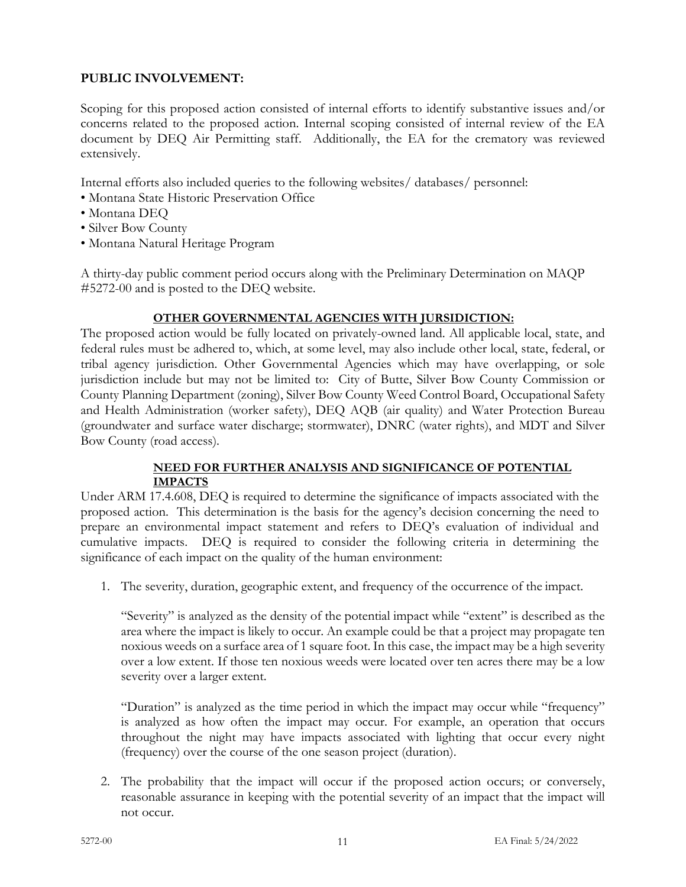# **PUBLIC INVOLVEMENT:**

Scoping for this proposed action consisted of internal efforts to identify substantive issues and/or concerns related to the proposed action. Internal scoping consisted of internal review of the EA document by DEQ Air Permitting staff. Additionally, the EA for the crematory was reviewed extensively.

Internal efforts also included queries to the following websites/ databases/ personnel:

- Montana State Historic Preservation Office
- Montana DEQ
- Silver Bow County
- Montana Natural Heritage Program

A thirty-day public comment period occurs along with the Preliminary Determination on MAQP #5272-00 and is posted to the DEQ website.

# **OTHER GOVERNMENTAL AGENCIES WITH JURSIDICTION:**

The proposed action would be fully located on privately-owned land. All applicable local, state, and federal rules must be adhered to, which, at some level, may also include other local, state, federal, or tribal agency jurisdiction. Other Governmental Agencies which may have overlapping, or sole jurisdiction include but may not be limited to: City of Butte, Silver Bow County Commission or County Planning Department (zoning), Silver Bow County Weed Control Board, Occupational Safety and Health Administration (worker safety), DEQ AQB (air quality) and Water Protection Bureau (groundwater and surface water discharge; stormwater), DNRC (water rights), and MDT and Silver Bow County (road access).

#### **NEED FOR FURTHER ANALYSIS AND SIGNIFICANCE OF POTENTIAL IMPACTS**

Under ARM 17.4.608, DEQ is required to determine the significance of impacts associated with the proposed action. This determination is the basis for the agency's decision concerning the need to prepare an environmental impact statement and refers to DEQ's evaluation of individual and cumulative impacts. DEQ is required to consider the following criteria in determining the significance of each impact on the quality of the human environment:

1. The severity, duration, geographic extent, and frequency of the occurrence of the impact.

"Severity" is analyzed as the density of the potential impact while "extent" is described as the area where the impact is likely to occur. An example could be that a project may propagate ten noxious weeds on a surface area of 1 square foot. In this case, the impact may be a high severity over a low extent. If those ten noxious weeds were located over ten acres there may be a low severity over a larger extent.

"Duration" is analyzed as the time period in which the impact may occur while "frequency" is analyzed as how often the impact may occur. For example, an operation that occurs throughout the night may have impacts associated with lighting that occur every night (frequency) over the course of the one season project (duration).

2. The probability that the impact will occur if the proposed action occurs; or conversely, reasonable assurance in keeping with the potential severity of an impact that the impact will not occur.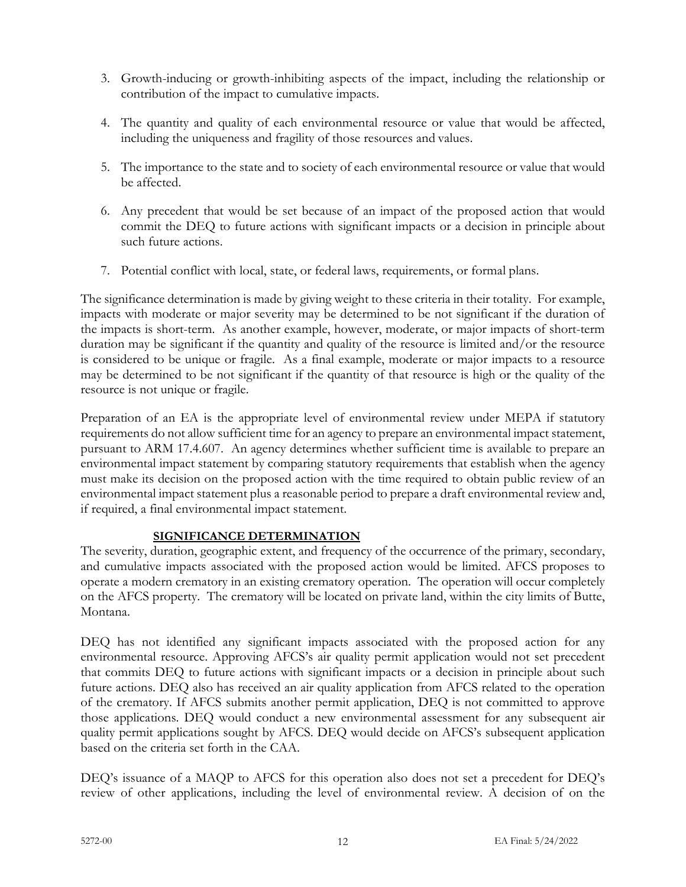- 3. Growth-inducing or growth-inhibiting aspects of the impact, including the relationship or contribution of the impact to cumulative impacts.
- 4. The quantity and quality of each environmental resource or value that would be affected, including the uniqueness and fragility of those resources and values.
- 5. The importance to the state and to society of each environmental resource or value that would be affected.
- 6. Any precedent that would be set because of an impact of the proposed action that would commit the DEQ to future actions with significant impacts or a decision in principle about such future actions.
- 7. Potential conflict with local, state, or federal laws, requirements, or formal plans.

The significance determination is made by giving weight to these criteria in their totality. For example, impacts with moderate or major severity may be determined to be not significant if the duration of the impacts is short-term. As another example, however, moderate, or major impacts of short-term duration may be significant if the quantity and quality of the resource is limited and/or the resource is considered to be unique or fragile. As a final example, moderate or major impacts to a resource may be determined to be not significant if the quantity of that resource is high or the quality of the resource is not unique or fragile.

Preparation of an EA is the appropriate level of environmental review under MEPA if statutory requirements do not allow sufficient time for an agency to prepare an environmental impact statement, pursuant to ARM 17.4.607. An agency determines whether sufficient time is available to prepare an environmental impact statement by comparing statutory requirements that establish when the agency must make its decision on the proposed action with the time required to obtain public review of an environmental impact statement plus a reasonable period to prepare a draft environmental review and, if required, a final environmental impact statement.

# **SIGNIFICANCE DETERMINATION**

The severity, duration, geographic extent, and frequency of the occurrence of the primary, secondary, and cumulative impacts associated with the proposed action would be limited. AFCS proposes to operate a modern crematory in an existing crematory operation. The operation will occur completely on the AFCS property. The crematory will be located on private land, within the city limits of Butte, Montana.

DEQ has not identified any significant impacts associated with the proposed action for any environmental resource. Approving AFCS's air quality permit application would not set precedent that commits DEQ to future actions with significant impacts or a decision in principle about such future actions. DEQ also has received an air quality application from AFCS related to the operation of the crematory. If AFCS submits another permit application, DEQ is not committed to approve those applications. DEQ would conduct a new environmental assessment for any subsequent air quality permit applications sought by AFCS. DEQ would decide on AFCS's subsequent application based on the criteria set forth in the CAA.

DEQ's issuance of a MAQP to AFCS for this operation also does not set a precedent for DEQ's review of other applications, including the level of environmental review. A decision of on the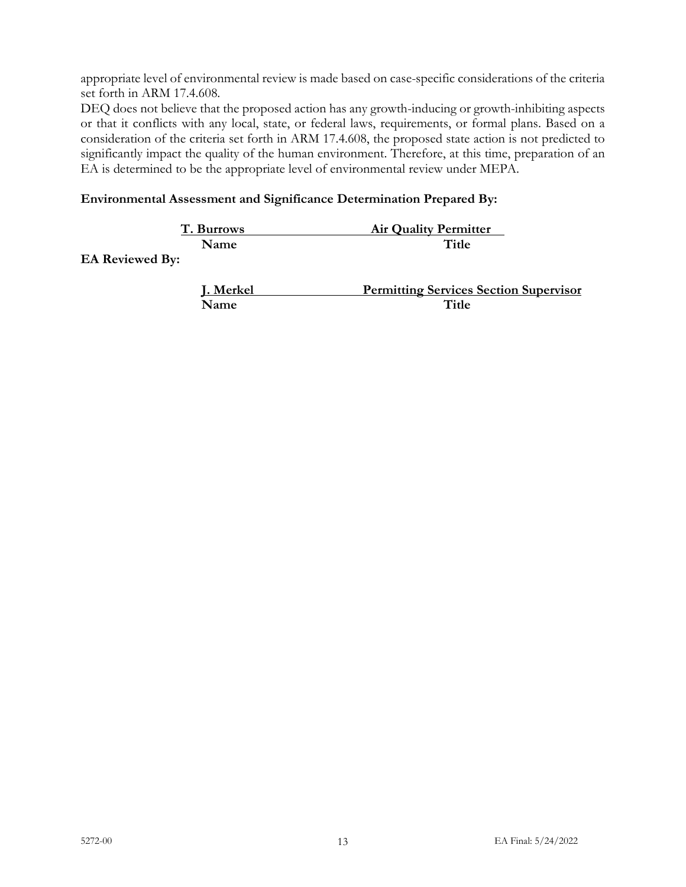appropriate level of environmental review is made based on case-specific considerations of the criteria set forth in ARM 17.4.608.

DEQ does not believe that the proposed action has any growth-inducing or growth-inhibiting aspects or that it conflicts with any local, state, or federal laws, requirements, or formal plans. Based on a consideration of the criteria set forth in ARM 17.4.608, the proposed state action is not predicted to significantly impact the quality of the human environment. Therefore, at this time, preparation of an EA is determined to be the appropriate level of environmental review under MEPA.

# **Environmental Assessment and Significance Determination Prepared By:**

| T. Burrows | <b>Air Quality Permitter</b> |
|------------|------------------------------|
| Name       | Title                        |
| _ _ _      |                              |

**EA Reviewed By:**

| <b>J. Merkel</b> | <b>Permitting Services Section Supervisor</b> |
|------------------|-----------------------------------------------|
| <b>Name</b>      | Title                                         |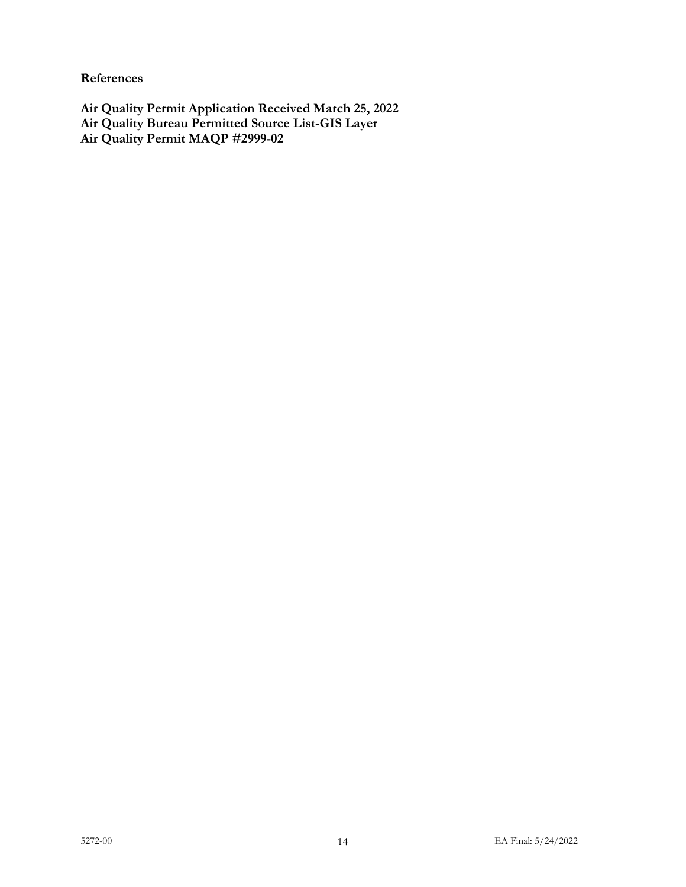**References**

**Air Quality Permit Application Received March 25, 2022 Air Quality Bureau Permitted Source List-GIS Layer Air Quality Permit MAQP #2999-02**